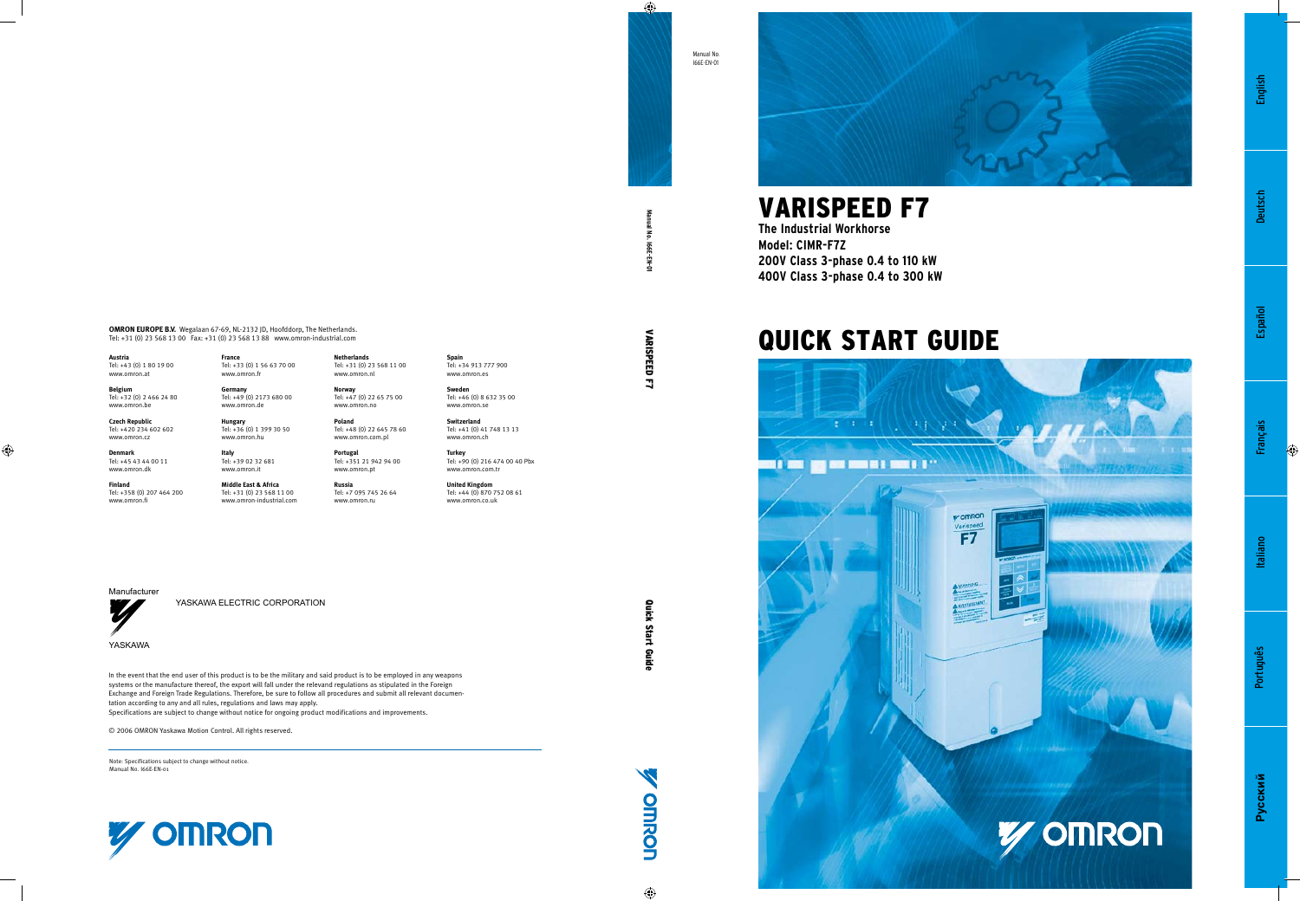

# VARISPEED F7

**The Industrial Workhorse Model: CIMR-F7Z 200V Class 3-phase 0.4 to 110 kW 400V Class 3-phase 0.4 to 300 kW**

# Quick START GUIDE



**Pyccкий**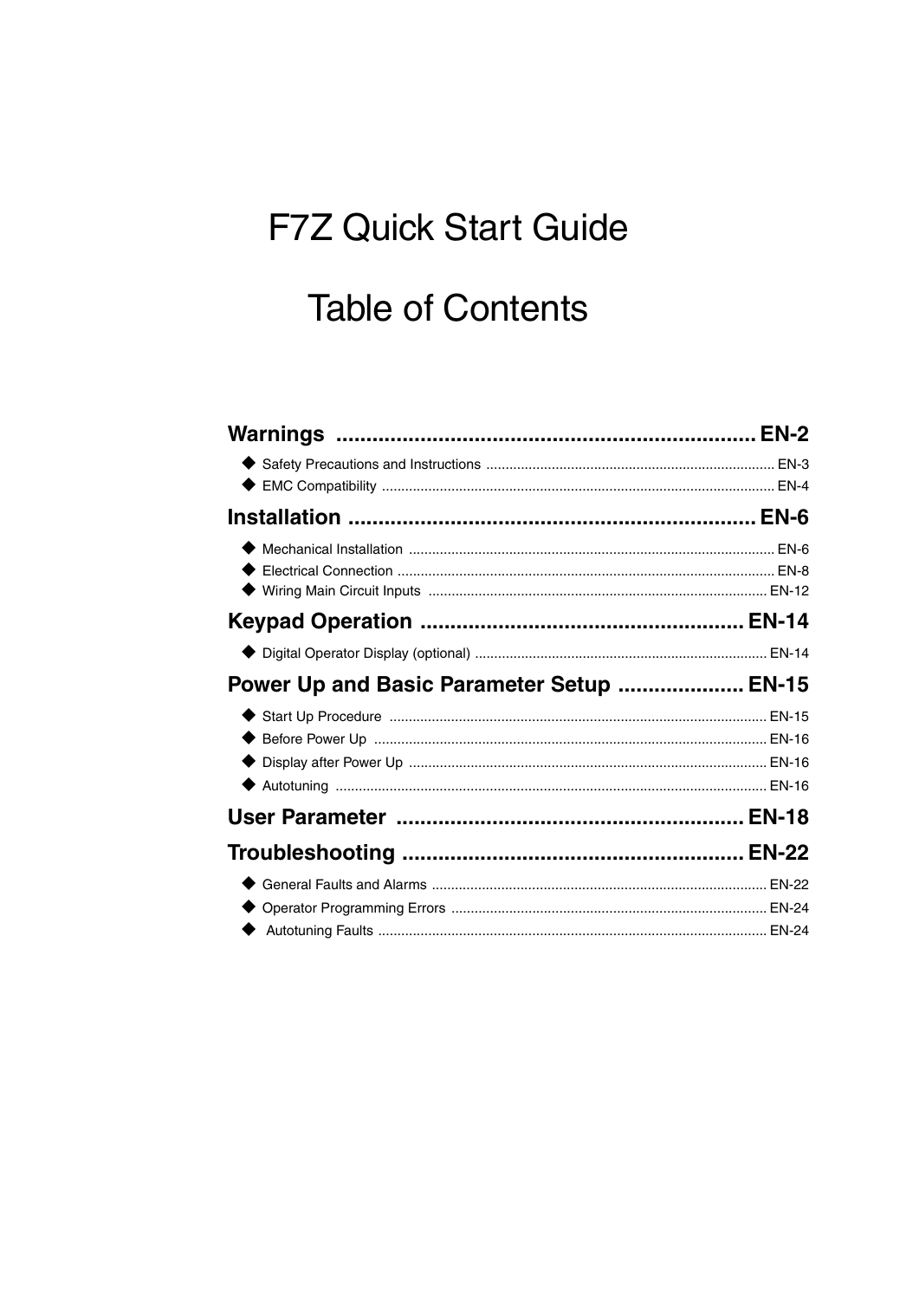# **F7Z Quick Start Guide**

# **Table of Contents**

| Power Up and Basic Parameter Setup  EN-15 |  |
|-------------------------------------------|--|
|                                           |  |
|                                           |  |
|                                           |  |
|                                           |  |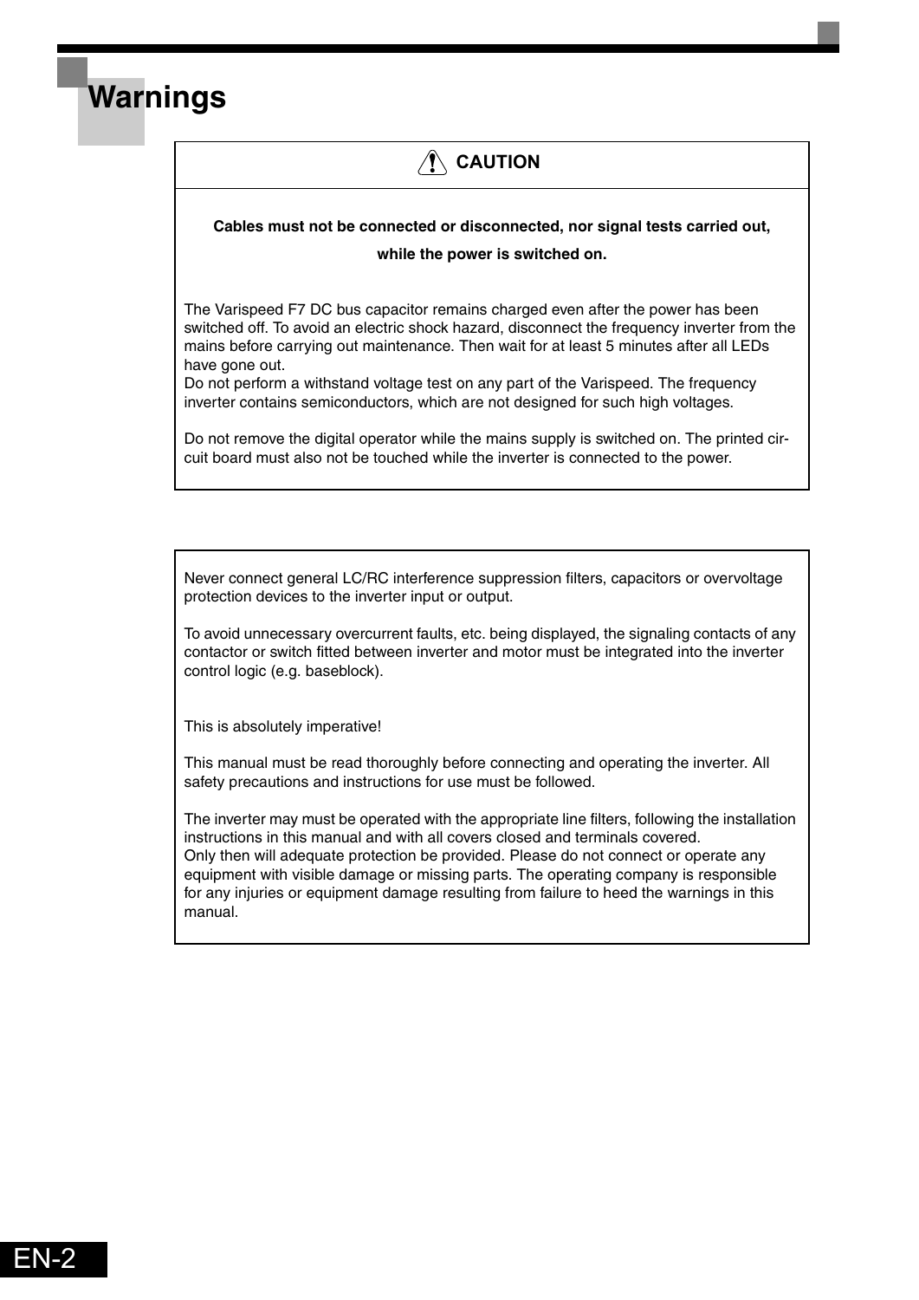## **/!\ CAUTION**

### **Cables must not be connected or disconnected, nor signal tests carried out,**

#### **while the power is switched on.**

The Varispeed F7 DC bus capacitor remains charged even after the power has been switched off. To avoid an electric shock hazard, disconnect the frequency inverter from the mains before carrying out maintenance. Then wait for at least 5 minutes after all LEDs have gone out.

Do not perform a withstand voltage test on any part of the Varispeed. The frequency inverter contains semiconductors, which are not designed for such high voltages.

Do not remove the digital operator while the mains supply is switched on. The printed circuit board must also not be touched while the inverter is connected to the power.

Never connect general LC/RC interference suppression filters, capacitors or overvoltage protection devices to the inverter input or output.

To avoid unnecessary overcurrent faults, etc. being displayed, the signaling contacts of any contactor or switch fitted between inverter and motor must be integrated into the inverter control logic (e.g. baseblock).

This is absolutely imperative!

<span id="page-2-0"></span>**Warnings**

This manual must be read thoroughly before connecting and operating the inverter. All safety precautions and instructions for use must be followed.

The inverter may must be operated with the appropriate line filters, following the installation instructions in this manual and with all covers closed and terminals covered. Only then will adequate protection be provided. Please do not connect or operate any equipment with visible damage or missing parts. The operating company is responsible for any injuries or equipment damage resulting from failure to heed the warnings in this manual.

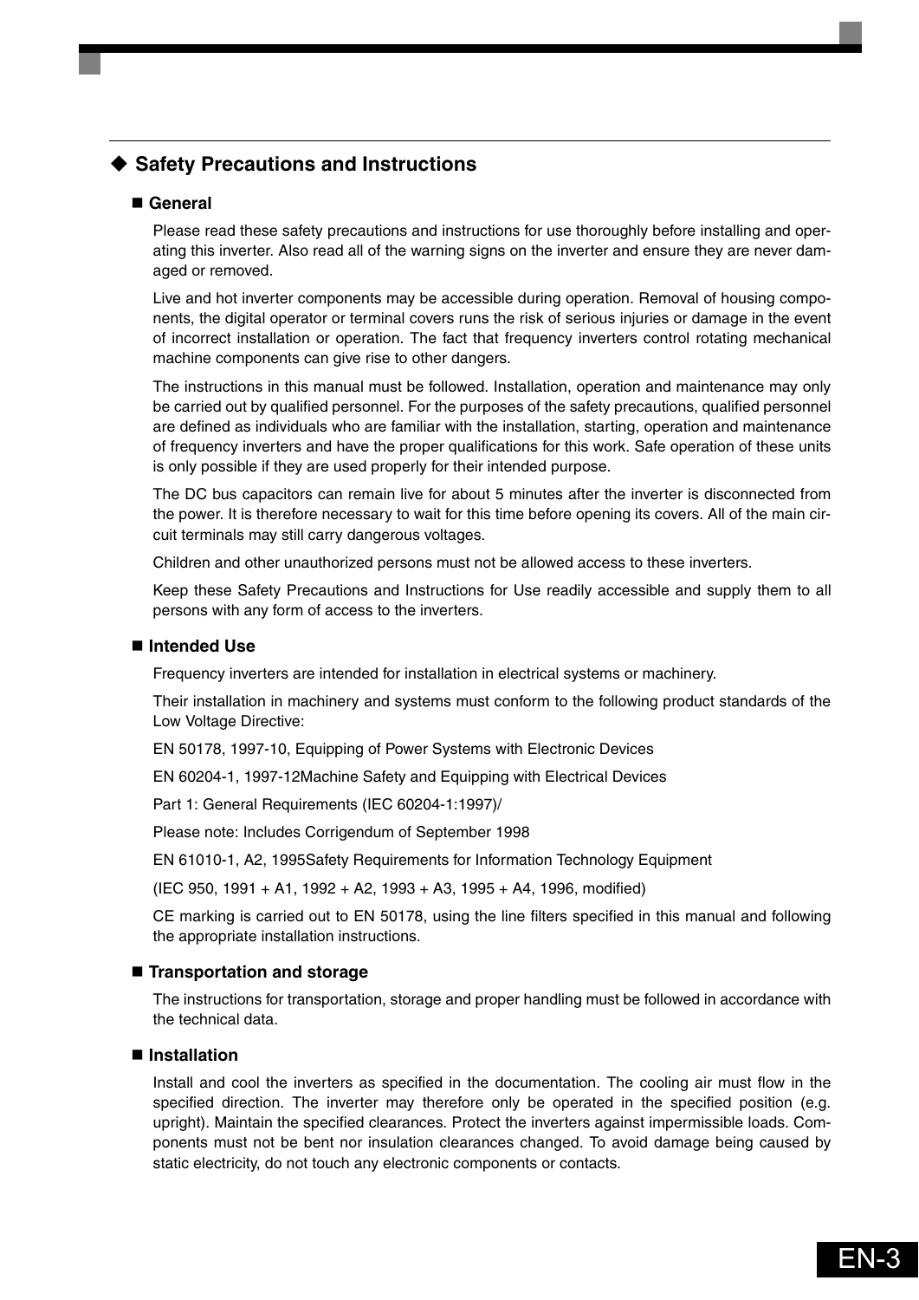### <span id="page-3-0"></span>◆ Safety Precautions and Instructions

### **General**

Please read these safety precautions and instructions for use thoroughly before installing and operating this inverter. Also read all of the warning signs on the inverter and ensure they are never damaged or removed.

Live and hot inverter components may be accessible during operation. Removal of housing components, the digital operator or terminal covers runs the risk of serious injuries or damage in the event of incorrect installation or operation. The fact that frequency inverters control rotating mechanical machine components can give rise to other dangers.

The instructions in this manual must be followed. Installation, operation and maintenance may only be carried out by qualified personnel. For the purposes of the safety precautions, qualified personnel are defined as individuals who are familiar with the installation, starting, operation and maintenance of frequency inverters and have the proper qualifications for this work. Safe operation of these units is only possible if they are used properly for their intended purpose.

The DC bus capacitors can remain live for about 5 minutes after the inverter is disconnected from the power. It is therefore necessary to wait for this time before opening its covers. All of the main circuit terminals may still carry dangerous voltages.

Children and other unauthorized persons must not be allowed access to these inverters.

Keep these Safety Precautions and Instructions for Use readily accessible and supply them to all persons with any form of access to the inverters.

### ■ Intended Use

Frequency inverters are intended for installation in electrical systems or machinery.

Their installation in machinery and systems must conform to the following product standards of the Low Voltage Directive:

EN 50178, 1997-10, Equipping of Power Systems with Electronic Devices

EN 60204-1, 1997-12Machine Safety and Equipping with Electrical Devices

Part 1: General Requirements (IEC 60204-1:1997)/

Please note: Includes Corrigendum of September 1998

EN 61010-1, A2, 1995Safety Requirements for Information Technology Equipment

(IEC 950, 1991 + A1, 1992 + A2, 1993 + A3, 1995 + A4, 1996, modified)

CE marking is carried out to EN 50178, using the line filters specified in this manual and following the appropriate installation instructions.

### **Transportation and storage**

The instructions for transportation, storage and proper handling must be followed in accordance with the technical data.

### **Installation**

Install and cool the inverters as specified in the documentation. The cooling air must flow in the specified direction. The inverter may therefore only be operated in the specified position (e.g. upright). Maintain the specified clearances. Protect the inverters against impermissible loads. Components must not be bent nor insulation clearances changed. To avoid damage being caused by static electricity, do not touch any electronic components or contacts.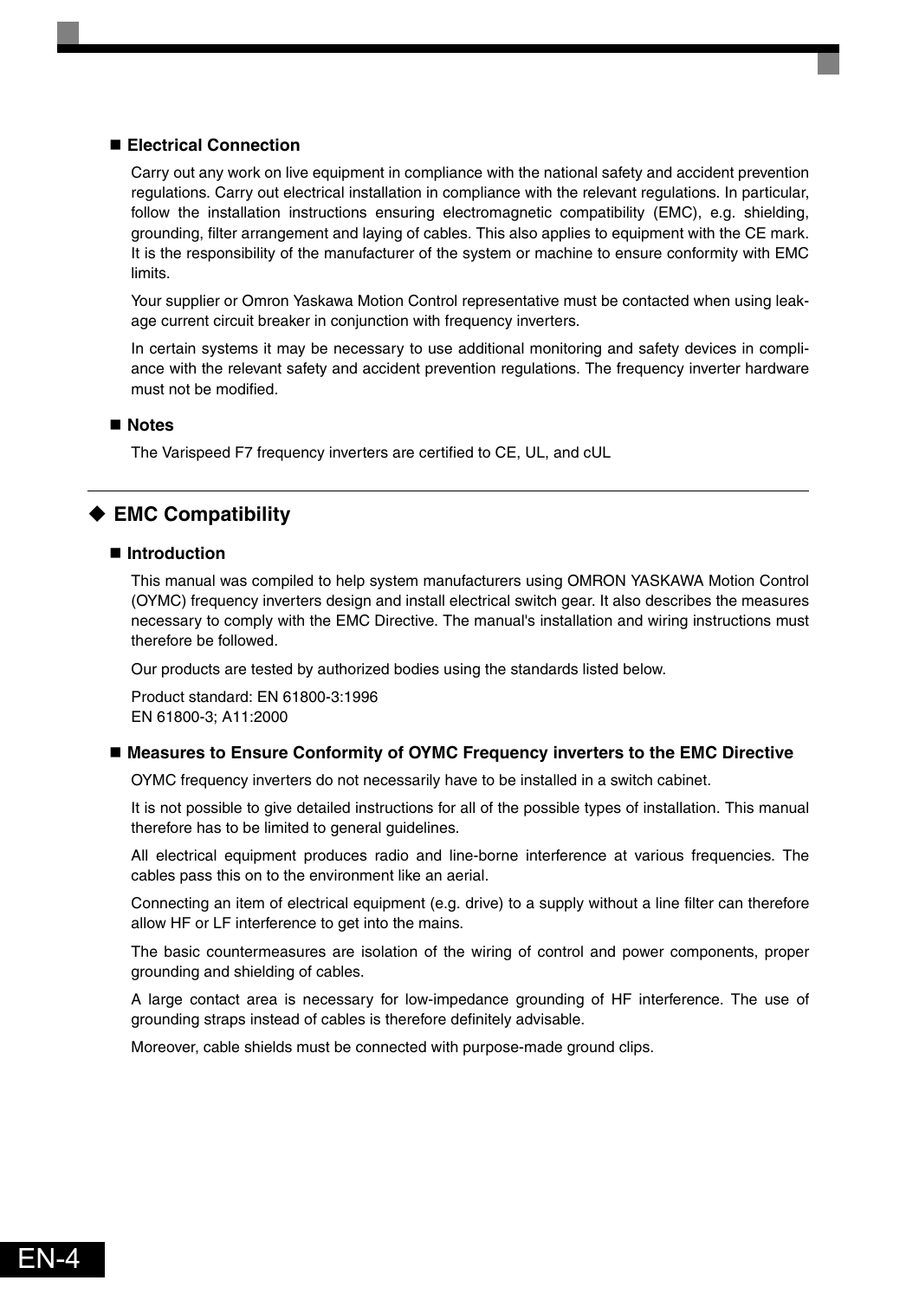### **Electrical Connection**

Carry out any work on live equipment in compliance with the national safety and accident prevention regulations. Carry out electrical installation in compliance with the relevant regulations. In particular, follow the installation instructions ensuring electromagnetic compatibility (EMC), e.g. shielding, grounding, filter arrangement and laying of cables. This also applies to equipment with the CE mark. It is the responsibility of the manufacturer of the system or machine to ensure conformity with EMC limits.

Your supplier or Omron Yaskawa Motion Control representative must be contacted when using leakage current circuit breaker in conjunction with frequency inverters.

In certain systems it may be necessary to use additional monitoring and safety devices in compliance with the relevant safety and accident prevention regulations. The frequency inverter hardware must not be modified.

#### **Notes**

The Varispeed F7 frequency inverters are certified to CE, UL, and cUL

### <span id="page-4-0"></span>◆ EMC Compatibility

#### ■ Introduction

This manual was compiled to help system manufacturers using OMRON YASKAWA Motion Control (OYMC) frequency inverters design and install electrical switch gear. It also describes the measures necessary to comply with the EMC Directive. The manual's installation and wiring instructions must therefore be followed.

Our products are tested by authorized bodies using the standards listed below.

Product standard: EN 61800-3:1996 EN 61800-3; A11:2000

#### ■ Measures to Ensure Conformity of OYMC Frequency inverters to the EMC Directive

OYMC frequency inverters do not necessarily have to be installed in a switch cabinet.

It is not possible to give detailed instructions for all of the possible types of installation. This manual therefore has to be limited to general guidelines.

All electrical equipment produces radio and line-borne interference at various frequencies. The cables pass this on to the environment like an aerial.

Connecting an item of electrical equipment (e.g. drive) to a supply without a line filter can therefore allow HF or LF interference to get into the mains.

The basic countermeasures are isolation of the wiring of control and power components, proper grounding and shielding of cables.

A large contact area is necessary for low-impedance grounding of HF interference. The use of grounding straps instead of cables is therefore definitely advisable.

Moreover, cable shields must be connected with purpose-made ground clips.

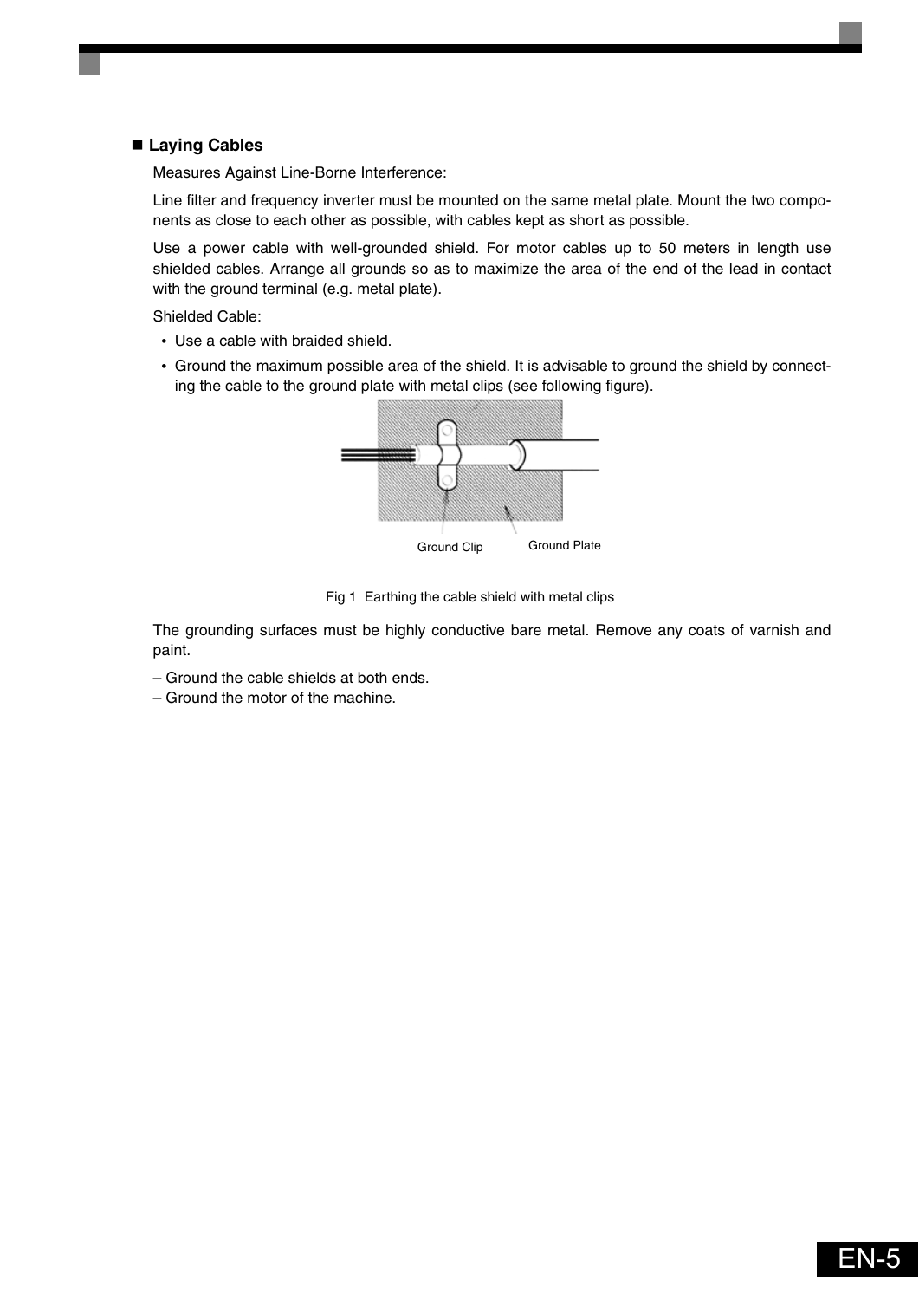### **Laying Cables**

Measures Against Line-Borne Interference:

Line filter and frequency inverter must be mounted on the same metal plate. Mount the two components as close to each other as possible, with cables kept as short as possible.

Use a power cable with well-grounded shield. For motor cables up to 50 meters in length use shielded cables. Arrange all grounds so as to maximize the area of the end of the lead in contact with the ground terminal (e.g. metal plate).

Shielded Cable:

- **•** Use a cable with braided shield.
- **•** Ground the maximum possible area of the shield. It is advisable to ground the shield by connecting the cable to the ground plate with metal clips (see following figure).



Fig 1 Earthing the cable shield with metal clips

The grounding surfaces must be highly conductive bare metal. Remove any coats of varnish and paint.

- Ground the cable shields at both ends.
- Ground the motor of the machine.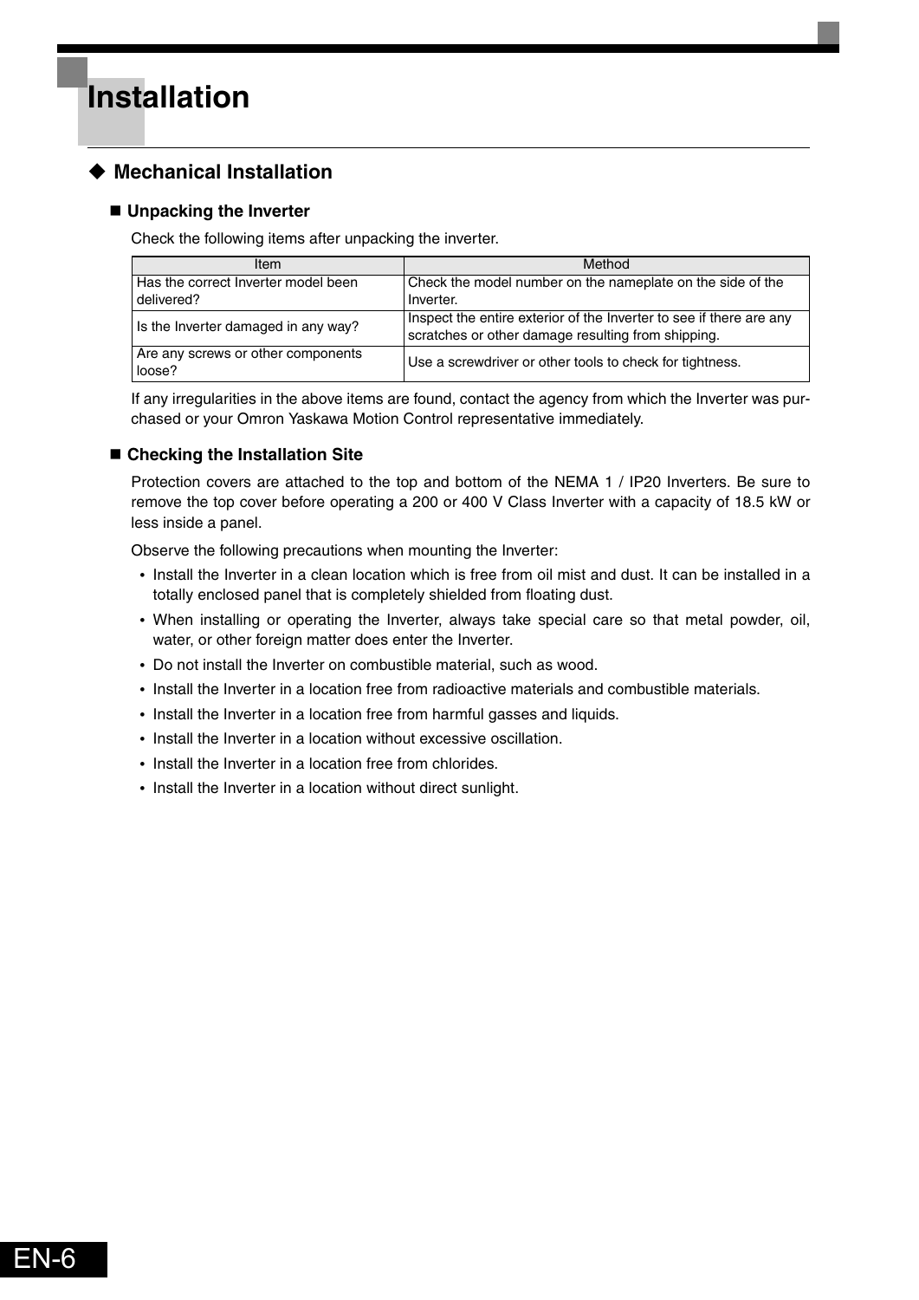### <span id="page-6-1"></span><span id="page-6-0"></span>**Mechanical Installation**

### **Unpacking the Inverter**

Check the following items after unpacking the inverter.

| Item                                              | Method                                                                                                                    |
|---------------------------------------------------|---------------------------------------------------------------------------------------------------------------------------|
| Has the correct Inverter model been<br>delivered? | Check the model number on the nameplate on the side of the<br>Inverter.                                                   |
| Is the Inverter damaged in any way?               | Inspect the entire exterior of the Inverter to see if there are any<br>scratches or other damage resulting from shipping. |
| Are any screws or other components<br>loose?      | Use a screwdriver or other tools to check for tightness.                                                                  |

If any irregularities in the above items are found, contact the agency from which the Inverter was purchased or your Omron Yaskawa Motion Control representative immediately.

### **Checking the Installation Site**

Protection covers are attached to the top and bottom of the NEMA 1 / IP20 Inverters. Be sure to remove the top cover before operating a 200 or 400 V Class Inverter with a capacity of 18.5 kW or less inside a panel.

Observe the following precautions when mounting the Inverter:

- **•** Install the Inverter in a clean location which is free from oil mist and dust. It can be installed in a totally enclosed panel that is completely shielded from floating dust.
- **•** When installing or operating the Inverter, always take special care so that metal powder, oil, water, or other foreign matter does enter the Inverter.
- **•** Do not install the Inverter on combustible material, such as wood.
- **•** Install the Inverter in a location free from radioactive materials and combustible materials.
- **•** Install the Inverter in a location free from harmful gasses and liquids.
- **•** Install the Inverter in a location without excessive oscillation.
- **•** Install the Inverter in a location free from chlorides.
- **•** Install the Inverter in a location without direct sunlight.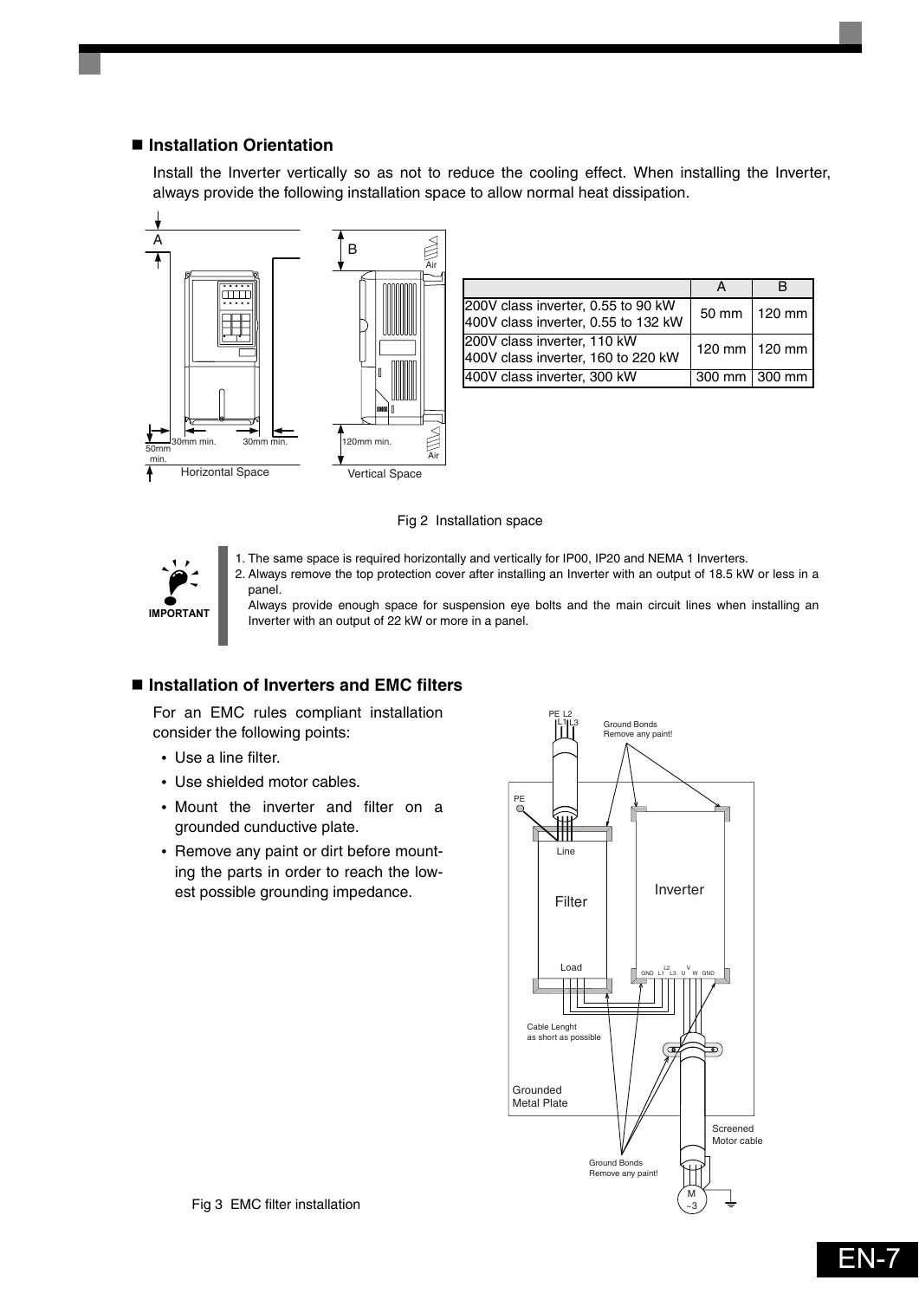### ■ Installation Orientation

Install the Inverter vertically so as not to reduce the cooling effect. When installing the Inverter, always provide the following installation space to allow normal heat dissipation.



| 200V class inverter, 0.55 to 90 kW<br>400V class inverter, 0.55 to 132 kW | $50 \text{ mm}$   120 mm |
|---------------------------------------------------------------------------|--------------------------|
| 200V class inverter, 110 kW<br>400V class inverter, 160 to 220 kW         | 120 mm   120 mm          |
| 400V class inverter, 300 kW                                               | 300 mm   300 mm          |

#### Fig 2 Installation space

1. The same space is required horizontally and vertically for IP00, IP20 and NEMA 1 Inverters.

![](_page_7_Picture_5.jpeg)

2. Always remove the top protection cover after installing an Inverter with an output of 18.5 kW or less in a panel.

Always provide enough space for suspension eye bolts and the main circuit lines when installing an Inverter with an output of 22 kW or more in a panel.

### ■ Installation of Inverters and EMC filters

For an EMC rules compliant installation consider the following points:

- **•** Use a line filter.
- **•** Use shielded motor cables.
- **•** Mount the inverter and filter on a grounded cunductive plate.
- **•** Remove any paint or dirt before mounting the parts in order to reach the lowest possible grounding impedance.

![](_page_7_Figure_14.jpeg)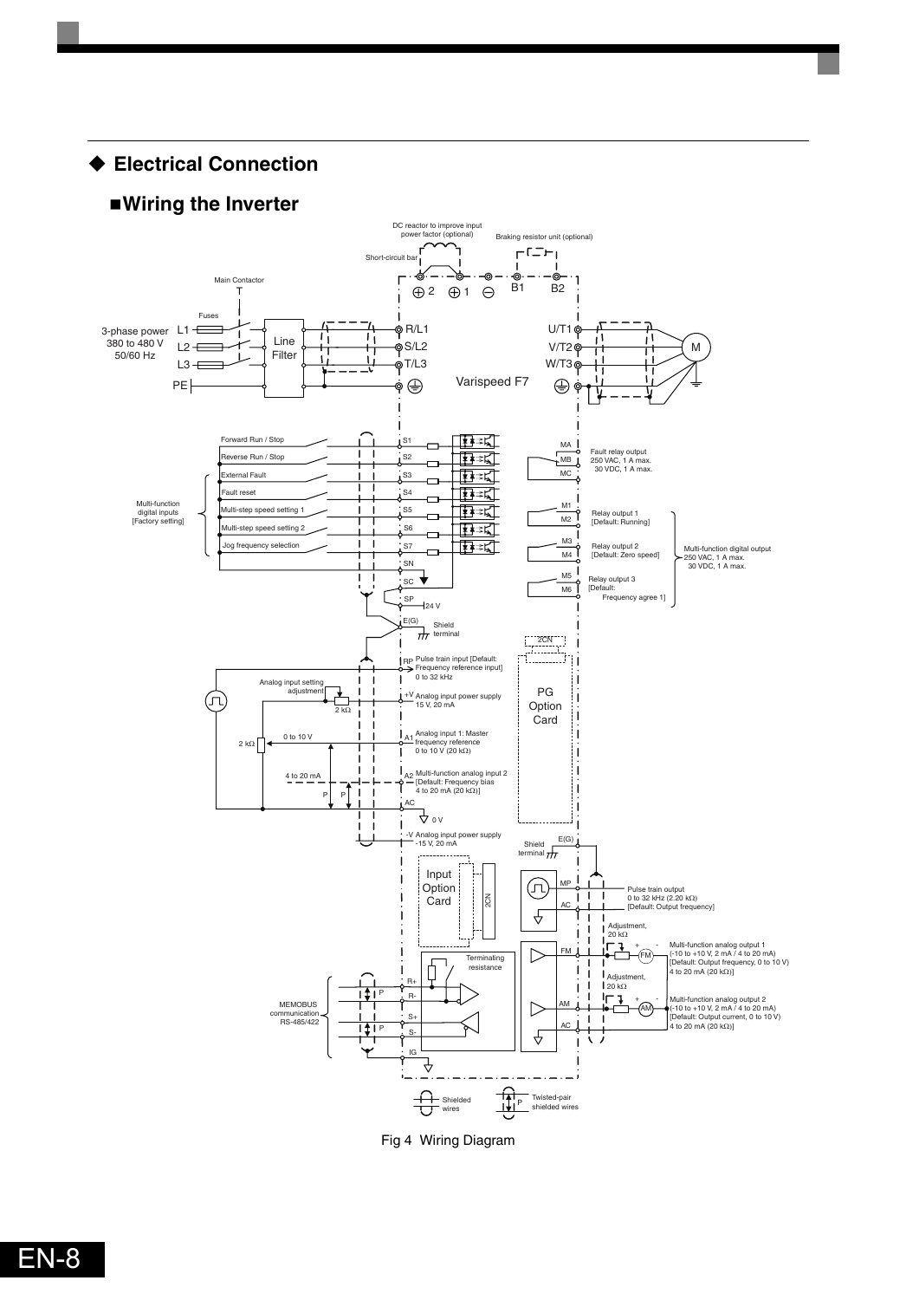<span id="page-8-0"></span> **Electrical Connection Wiring the Inverter** DC reactor to improve input<br>power factor (optional) power factor (optional) Braking resistor unit (optional)  $FCTF$ Short-circuit ba  $\blacksquare$ - I . ക് -ල ൎൟ స Main Contactor  $\mathbf{r}$  $\oplus$  2  $\oplus$  1  $\ominus$   $\oplus$  1 B2 T Fuses .<br>စု R/L1  $U/T1$ 3-phase power L1 Line n ' I 380 to 480 V  $L2 \rightleftarrows$ .<br>©S/L2  $V/T2$ M 50/60 Hz Filter  $L3 + E$ .<br>oT/L3 W/T3 щ Varispeed F7 ∲ ⊕ PE<sup>|</sup>  $\oplus$ Forward Run / Stop ∯≉≭ਹੰ  $\overline{1}$  S1 MA Ţ  $\blacksquare$ Reverse Run / Stop ा‡क्≭द्री Fault relay output 250 VAC, 1 A max. 30 VDC, 1 A max.  $\frac{1}{1}$  S<sub>2</sub> MB ा≹≉≭≰∏  $i$ s<sub>3</sub> External Fault MC نم ाक्के≭द्रौ Fault reset  $\overline{\mathbf{S}}$ Multi-function M1 ∐∰≭इ∏ Multi-step speed setting 1 S5  $\frac{1}{2}$ digital inputs [Factory setting] Relay output 1 [Default: Running] S6 ा≹≉≭≰∏ ep speed se M3 log frequency selection S7 ∏क्र≠द्रा Multi-function digital output Relay output 2 [Default: Zero speed]  $\frac{M4}{2}$ 250 VAC, 1 A max. 30 VDC, 1 A max. SN  $M_5$ <sup>1</sup>  $\mathbf{I}$  $\overline{\phantom{a}}$ ╈ SC  $\frac{100}{100}$ Relay output 3 [Default: Frequency agree 1]  $\frac{\text{SP}}{\text{24 V}}$  $\frac{E(G)}{H}$  Shield<br>terminal  $\frac{2\text{CN}}{\text{C}}$ Pulse train input [Default: Frequency reference input] 0 to 32 kHz RP Analog input setting adjustment PG ጔ (J)  $+\frac{V}{15}$  Analog input power supply Option 2 kΩ Card  $2 k\Omega$   $\theta$  to 10 V Analog input 1: Master<br>frequency reference<br>0 to 10 V (20 kΩ)  $4 to 20$  mA Multi-function analog input 2 [Default: Frequency bias 4 to 20 mA (20 kΩ)] A2  $\overline{P}$ AC له « -V Analog input power supply<br>- 15 V, 20 mA Shield  $\frac{E(G)}{f(T)}$ Input MP (J) Option Pulse train output 0 to 32 kHz (2.20 kΩ)  $\overline{1}$ Card $\overline{\tilde{c}}$  $\mathbf{I}$ AC . [Default: Output frequency]  $\triangle$ Adjustr  $\mathbf{I}$  $\mathbf{I}$  $\begin{bmatrix} \frac{AQ}{20} & k\Omega \\ \frac{1}{20} & \frac{1}{20} \end{bmatrix}$ + - Multi-function analog output 1 (-10 to +10 V, 2 mA / 4 to 20 mA) [Default: Output frequency, 0 to 10 V) 4 to 20 mA (20 kΩ)]  $\triangleright$ FM FM **Terminating** ď resistance Adjustment,<br>20 kΩ R+  $\mathbf{I}$ ा‡। प R-MEMOBUS + AM - Multi-function analog output 2 (-10 to +10 V, 2 mA / 4 to 20 mA) [Default: Output current, 0 to 10 V) 4 to 20 mA (20 kΩ)]  $\triangleright$ AM communication<br>
RS-485/422  $\leftarrow$   $\frac{1}{11}$  P S+ AC S-€ IG ₹  $\frac{\Omega}{\left|\mathbf{H}\right|^{p}}$ Twisted-pair shielded wires Shielded wires

<span id="page-8-1"></span>Fig 4 Wiring Diagram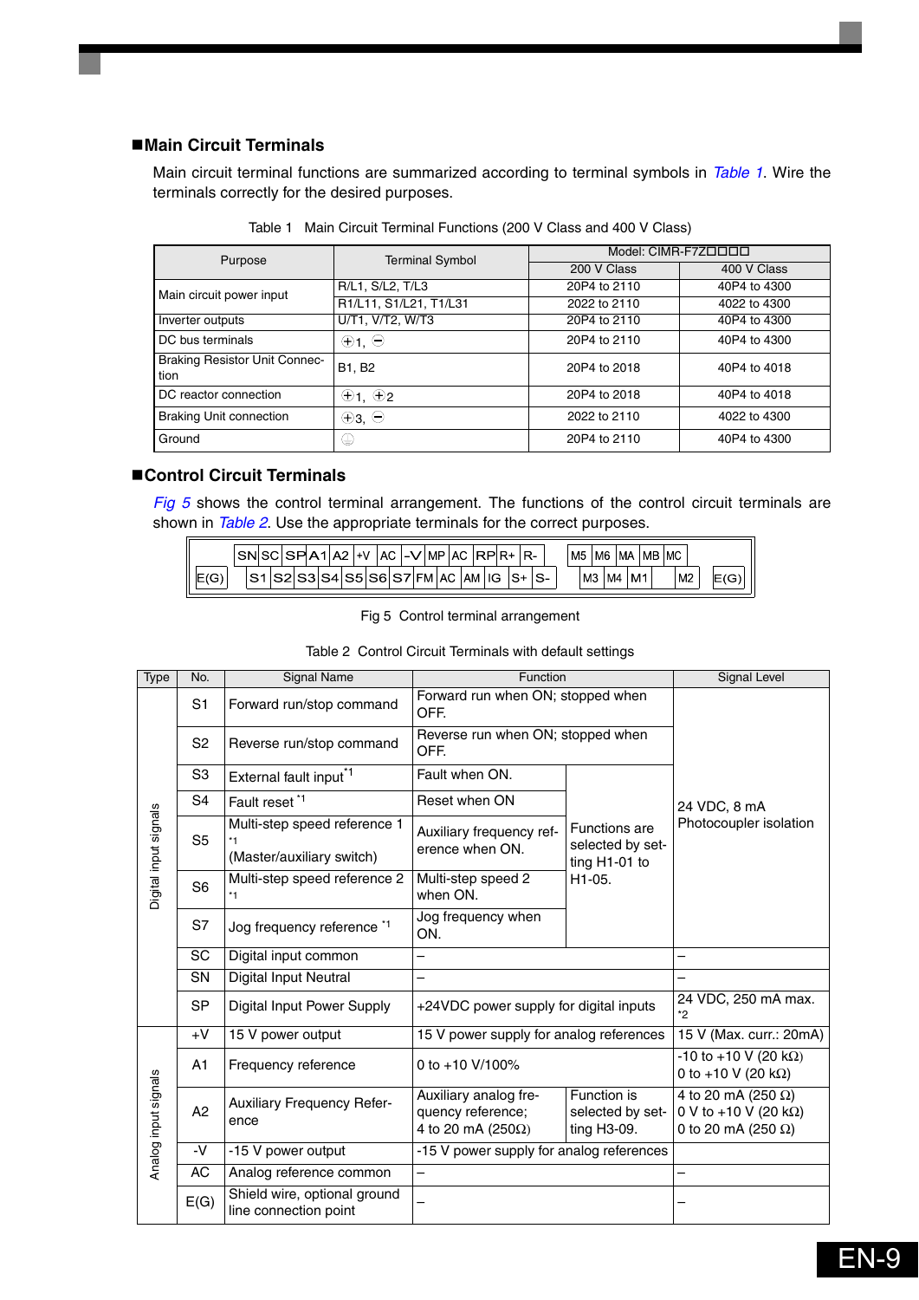### **Main Circuit Terminals**

Main circuit terminal functions are summarized according to terminal symbols in *Table 1*. Wire the terminals correctly for the desired purposes.

| Purpose                                      | <b>Terminal Symbol</b> | Model: CIMR-F7ZOOOO |              |  |  |  |
|----------------------------------------------|------------------------|---------------------|--------------|--|--|--|
|                                              |                        | 200 V Class         | 400 V Class  |  |  |  |
| Main circuit power input                     | R/L1, S/L2, T/L3       | 20P4 to 2110        | 40P4 to 4300 |  |  |  |
|                                              | R1/L11, S1/L21, T1/L31 | 2022 to 2110        | 4022 to 4300 |  |  |  |
| Inverter outputs                             | U/T1, V/T2, W/T3       | 20P4 to 2110        | 40P4 to 4300 |  |  |  |
| DC bus terminals                             | $\oplus$ 1, $\ominus$  | 20P4 to 2110        | 40P4 to 4300 |  |  |  |
| <b>Braking Resistor Unit Connec-</b><br>tion | B1, B2                 | 20P4 to 2018        | 40P4 to 4018 |  |  |  |
| DC reactor connection                        | $\oplus$ 1, $\oplus$ 2 | 20P4 to 2018        | 40P4 to 4018 |  |  |  |
| <b>Braking Unit connection</b>               | $\oplus$ 3, $\ominus$  | 2022 to 2110        | 4022 to 4300 |  |  |  |
| Ground                                       | ⊕                      | 20P4 to 2110        | 40P4 to 4300 |  |  |  |

Table 1 Main Circuit Terminal Functions (200 V Class and 400 V Class)

### **Control Circuit Terminals**

[Fig 5](#page-9-0) shows the control terminal arrangement. The functions of the control circuit terminals are shown in *Table 2*. Use the appropriate terminals for the correct purposes.

|                | SN |  |  | ΔΩ<br>$\sim$ | $+V$ |            | АC | v<br>$\overline{\phantom{0}}$ | MP   |    | AC. | R  |    |          | R- |                          | M <sub>5</sub> |                | M6 | МA |   | ı MB | 'MC |                |    |   |
|----------------|----|--|--|--------------|------|------------|----|-------------------------------|------|----|-----|----|----|----------|----|--------------------------|----------------|----------------|----|----|---|------|-----|----------------|----|---|
| $\Gamma$<br>טו |    |  |  | $S_4$        | S5   | <b>CAI</b> |    |                               | FM I | AC |     | AM | IG | $\sim$ . |    | $\overline{\phantom{0}}$ |                | M <sub>3</sub> | M4 |    | M |      |     | M <sub>2</sub> | ΙE | ֊ |

Fig 5 Control terminal arrangement

<span id="page-9-0"></span>

| Type                  | No.            | Signal Name                                                       | Function                                                                 | Signal Level                                              |                                                                                           |  |  |
|-----------------------|----------------|-------------------------------------------------------------------|--------------------------------------------------------------------------|-----------------------------------------------------------|-------------------------------------------------------------------------------------------|--|--|
|                       | S <sub>1</sub> | Forward run/stop command                                          | Forward run when ON; stopped when<br>OFF.                                |                                                           |                                                                                           |  |  |
|                       | S <sub>2</sub> | Reverse run/stop command                                          | Reverse run when ON; stopped when<br>OFF.                                |                                                           |                                                                                           |  |  |
|                       | S <sub>3</sub> | External fault input <sup>*1</sup>                                | Fault when ON.                                                           |                                                           |                                                                                           |  |  |
|                       | S <sub>4</sub> | Fault reset <sup>*1</sup>                                         | Reset when ON                                                            |                                                           | 24 VDC, 8 mA                                                                              |  |  |
| Digital input signals | S <sub>5</sub> | Multi-step speed reference 1<br>$*1$<br>(Master/auxiliary switch) | Auxiliary frequency ref-<br>erence when ON.                              | <b>Functions are</b><br>selected by set-<br>ting H1-01 to | Photocoupler isolation                                                                    |  |  |
|                       | S <sub>6</sub> | Multi-step speed reference 2<br>$*1$                              | Multi-step speed 2<br>when ON.                                           | H1-05.                                                    |                                                                                           |  |  |
|                       | S7             | Jog frequency reference *1                                        | Jog frequency when<br>ON.                                                |                                                           |                                                                                           |  |  |
|                       | SC             | Digital input common                                              | —                                                                        | —                                                         |                                                                                           |  |  |
|                       | <b>SN</b>      | Digital Input Neutral                                             | —                                                                        |                                                           |                                                                                           |  |  |
|                       | <b>SP</b>      | Digital Input Power Supply                                        | +24VDC power supply for digital inputs                                   | 24 VDC, 250 mA max.<br>*2                                 |                                                                                           |  |  |
|                       | $+V$           | 15 V power output                                                 | 15 V power supply for analog references                                  | 15 V (Max. curr.: 20mA)                                   |                                                                                           |  |  |
|                       | A <sub>1</sub> | Frequency reference                                               | 0 to +10 V/100%                                                          | $-10$ to $+10$ V (20 kΩ)<br>0 to +10 V (20 k $\Omega$ )   |                                                                                           |  |  |
| Analog input signals  | A <sub>2</sub> | Auxiliary Frequency Refer-<br>ence                                | Auxiliary analog fre-<br>quency reference;<br>4 to 20 mA (250 $\Omega$ ) | Function is<br>selected by set-<br>ting H3-09.            | 4 to 20 mA (250 $\Omega$ )<br>0 V to +10 V (20 k $\Omega$ )<br>0 to 20 mA (250 $\Omega$ ) |  |  |
|                       | -V             | -15 V power output                                                | -15 V power supply for analog references                                 |                                                           |                                                                                           |  |  |
|                       | AC             | Analog reference common                                           | $\overline{\phantom{0}}$                                                 |                                                           |                                                                                           |  |  |
|                       | E(G)           | Shield wire, optional ground<br>line connection point             |                                                                          |                                                           |                                                                                           |  |  |

Table 2 Control Circuit Terminals with default settings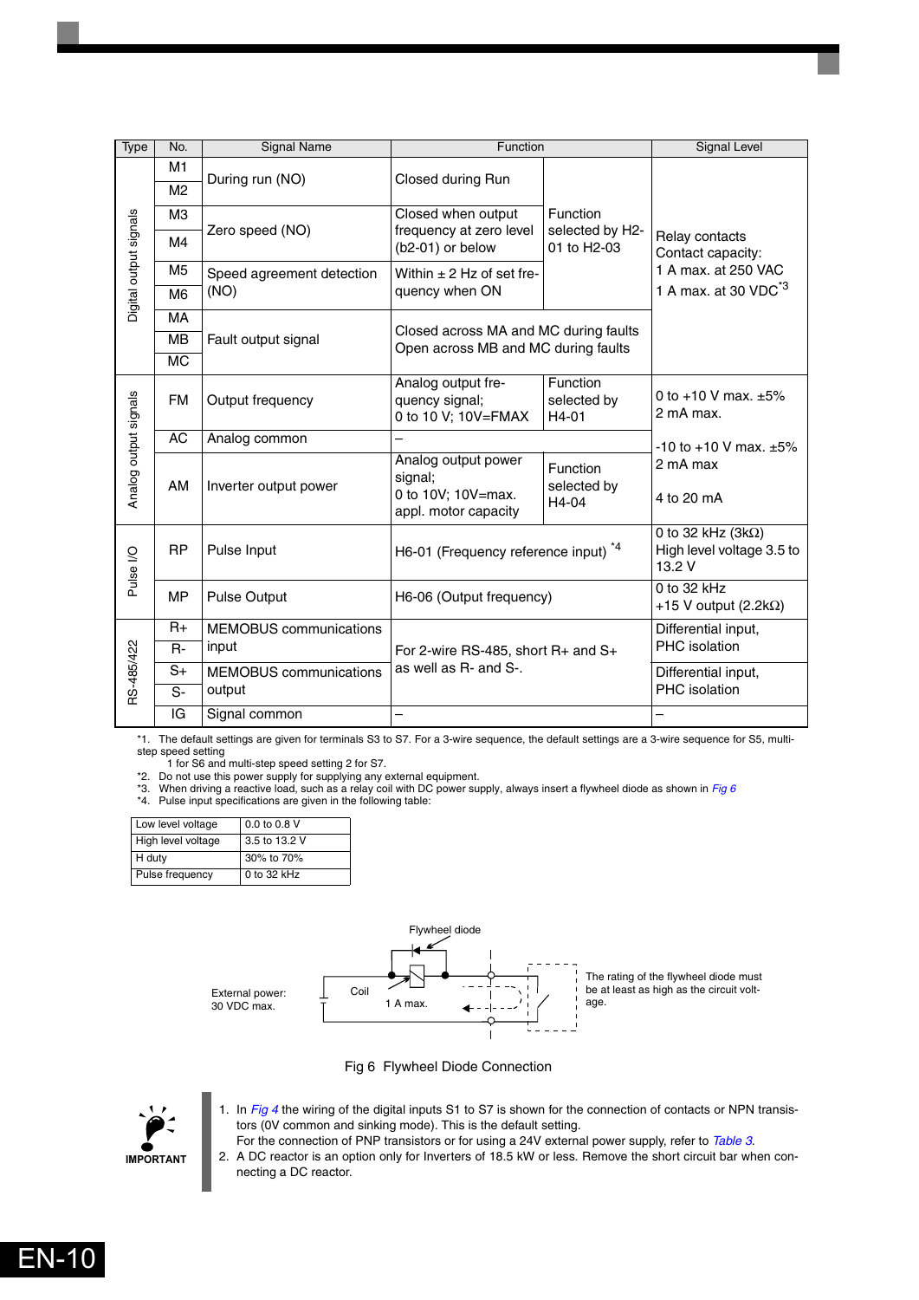| Type                   | No.                              | <b>Signal Name</b>            | Function                                                                     |                                            | Signal Level                                                      |  |  |  |
|------------------------|----------------------------------|-------------------------------|------------------------------------------------------------------------------|--------------------------------------------|-------------------------------------------------------------------|--|--|--|
|                        | M <sub>1</sub><br>M <sub>2</sub> | During run (NO)               | Closed during Run                                                            |                                            |                                                                   |  |  |  |
|                        | MЗ                               |                               | Closed when output                                                           |                                            |                                                                   |  |  |  |
| Digital output signals | M4                               | Zero speed (NO)               | frequency at zero level<br>(b2-01) or below                                  | Function<br>selected by H2-<br>01 to H2-03 |                                                                   |  |  |  |
|                        | M5                               | Speed agreement detection     | Within $\pm$ 2 Hz of set fre-                                                |                                            | Contact capacity:<br>1 A max. at 250 VAC                          |  |  |  |
|                        | M <sub>6</sub>                   | (NO)                          | quency when ON                                                               |                                            | 1 A max. at 30 VDC <sup>*3</sup>                                  |  |  |  |
|                        | MA                               |                               |                                                                              |                                            |                                                                   |  |  |  |
|                        | <b>MB</b>                        | Fault output signal           | Closed across MA and MC during faults<br>Open across MB and MC during faults |                                            |                                                                   |  |  |  |
|                        | МC                               |                               |                                                                              |                                            |                                                                   |  |  |  |
|                        | <b>FM</b>                        | Output frequency              | Analog output fre-<br>quency signal;<br>0 to 10 V; 10V=FMAX                  | Function<br>selected by<br>H4-01           | 0 to +10 V max. $\pm 5\%$<br>2 mA max.                            |  |  |  |
|                        | AC                               | Analog common                 |                                                                              | $-10$ to $+10$ V max. $\pm 5\%$            |                                                                   |  |  |  |
| Analog output signals  | AM.                              | Inverter output power         | Analog output power<br>signal;<br>0 to 10V; 10V=max.<br>appl. motor capacity | Function<br>selected by<br>H4-04           | 2 mA max<br>4 to 20 mA                                            |  |  |  |
| Pulse I/O              | <b>RP</b>                        | Pulse Input                   | H6-01 (Frequency reference input) <sup>*4</sup>                              |                                            | 0 to 32 kHz (3k $\Omega$ )<br>High level voltage 3.5 to<br>13.2 V |  |  |  |
|                        | <b>MP</b>                        | <b>Pulse Output</b>           | H6-06 (Output frequency)                                                     |                                            | $0$ to 32 kHz<br>+15 V output (2.2k $\Omega$ )                    |  |  |  |
|                        | $R_{+}$                          | <b>MEMOBUS</b> communications |                                                                              |                                            | Differential input,                                               |  |  |  |
|                        | $R -$                            | input                         | For 2-wire RS-485, short $R+$ and $S+$                                       |                                            | PHC isolation                                                     |  |  |  |
|                        | S+                               | <b>MEMOBUS</b> communications | as well as R- and S-.                                                        | Differential input,                        |                                                                   |  |  |  |
| RS-485/422<br>$S-$     |                                  | output                        |                                                                              | PHC isolation                              |                                                                   |  |  |  |
|                        | IG                               | Signal common                 |                                                                              |                                            |                                                                   |  |  |  |

\*1. The default settings are given for terminals S3 to S7. For a 3-wire sequence, the default settings are a 3-wire sequence for S5, multistep speed setting 1 for S6 and multi-step speed setting 2 for S7.

\*2. Do not use this power supply for supplying any external equipment. \*3. When driving a reactive load, such as a relay coil with DC power supply, always insert a flywheel diode as shown in *[Fig 6](#page-10-0)*

\*4. Pulse input specifications are given in the following table:

| Low level voltage  | 0.0 to 0.8 V  |
|--------------------|---------------|
| High level voltage | 3.5 to 13.2 V |
| H duty             | 30% to 70%    |
| Pulse frequency    | 0 to 32 kHz   |

![](_page_10_Figure_6.jpeg)

Fig 6 Flywheel Diode Connection

<span id="page-10-0"></span>![](_page_10_Picture_8.jpeg)

- 1. In *[Fig 4](#page-8-1)* the wiring of the digital inputs S1 to S7 is shown for the connection of contacts or NPN transistors (0V common and sinking mode). This is the default setting.
- For the connection of PNP transistors or for using a 24V external power supply, refer to *[Table 3](#page-11-0)*. 2. A DC reactor is an option only for Inverters of 18.5 kW or less. Remove the short circuit bar when connecting a DC reactor.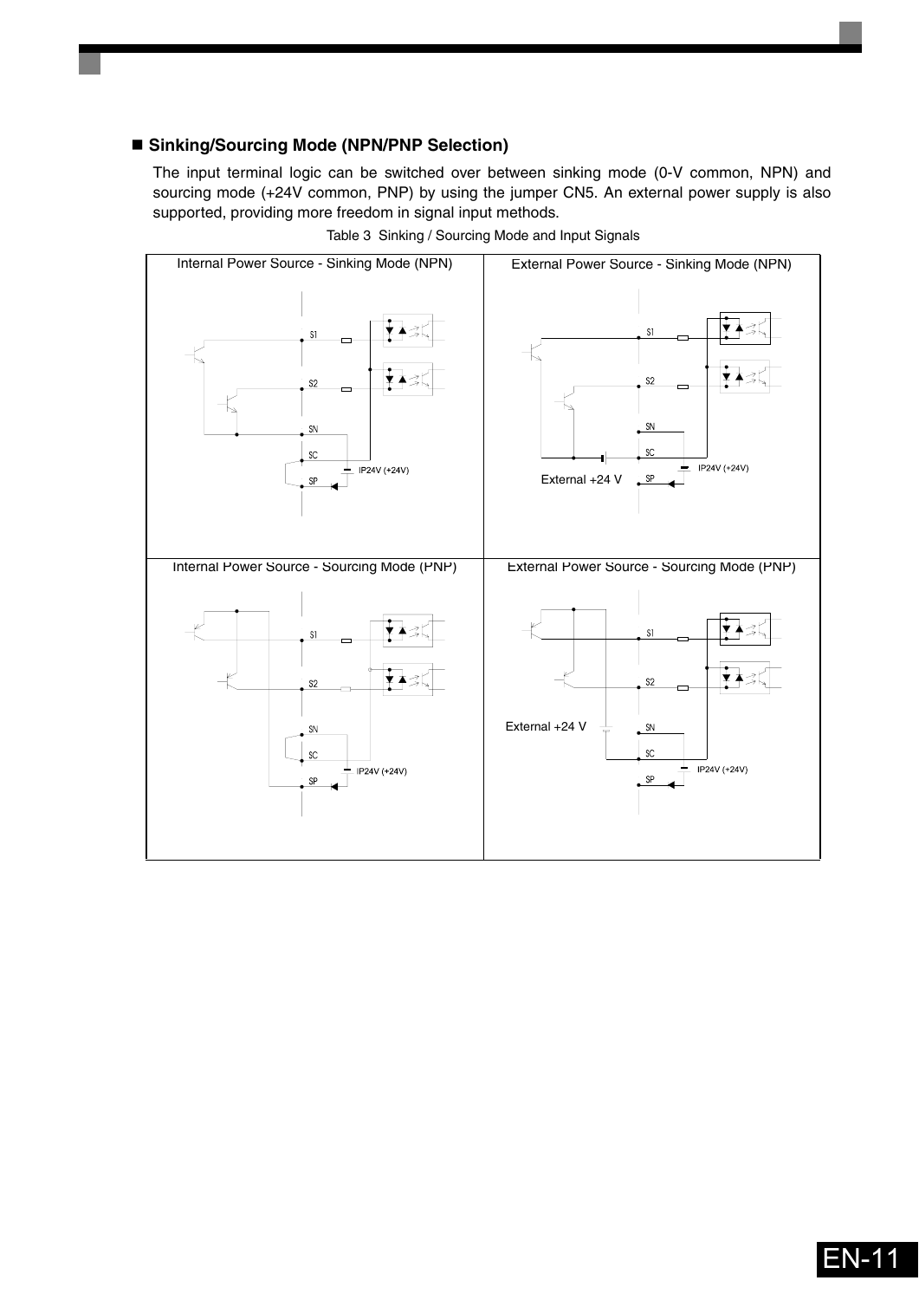### **Sinking/Sourcing Mode (NPN/PNP Selection)**

The input terminal logic can be switched over between sinking mode (0-V common, NPN) and sourcing mode (+24V common, PNP) by using the jumper CN5. An external power supply is also supported, providing more freedom in signal input methods.

<span id="page-11-0"></span>![](_page_11_Figure_2.jpeg)

Table 3 Sinking / Sourcing Mode and Input Signals

![](_page_11_Picture_4.jpeg)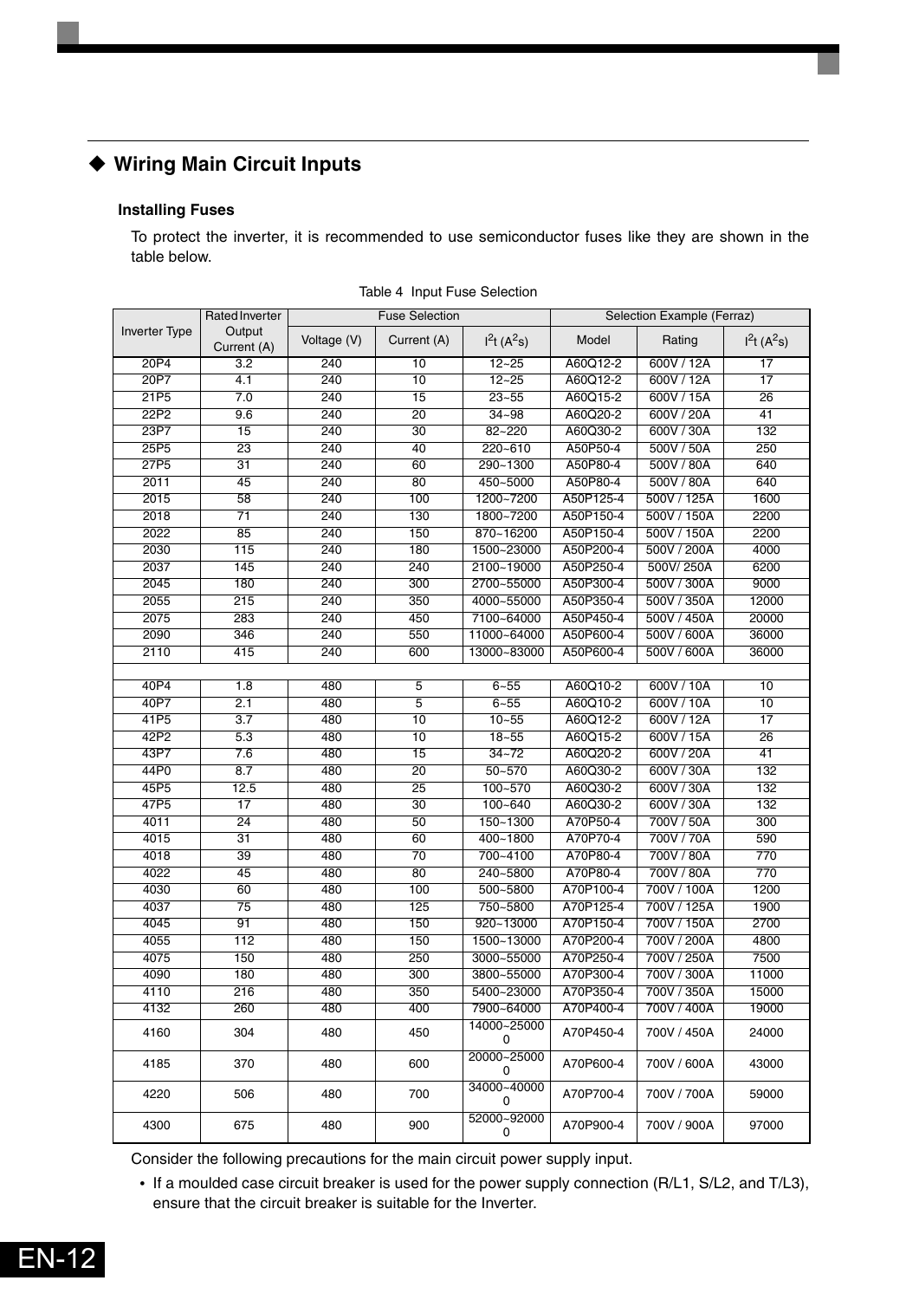### <span id="page-12-0"></span>**Wiring Main Circuit Inputs**

### **Installing Fuses**

To protect the inverter, it is recommended to use semiconductor fuses like they are shown in the table below.

|                  | <b>Rated Inverter</b> |             | <b>Fuse Selection</b> |                  |           | Selection Example (Ferraz) |              |
|------------------|-----------------------|-------------|-----------------------|------------------|-----------|----------------------------|--------------|
| Inverter Type    | Output<br>Current (A) | Voltage (V) | Current (A)           | $I^2t(A^2s)$     | Model     | Rating                     | $I^2t(A^2s)$ |
| 20P4             | 3.2                   | 240         | 10                    | $12 - 25$        | A60Q12-2  | 600V / 12A                 | 17           |
| 20P7             | 4.1                   | 240         | 10                    | $12 - 25$        | A60Q12-2  | 600V / 12A                 | 17           |
| 21P5             | 7.0                   | 240         | 15                    | $23 - 55$        | A60Q15-2  | 600V / 15A                 | 26           |
| 22P2             | 9.6                   | 240         | 20                    | $34 - 98$        | A60Q20-2  | 600V / 20A                 | 41           |
| 23P7             | 15                    | 240         | 30                    | 82~220           | A60Q30-2  | 600V / 30A                 | 132          |
| 25P5             | $\overline{23}$       | 240         | 40                    | 220~610          | A50P50-4  | 500V / 50A                 | 250          |
| 27P <sub>5</sub> | 31                    | 240         | 60                    | 290~1300         | A50P80-4  | 500V / 80A                 | 640          |
| 2011             | 45                    | 240         | 80                    | 450~5000         | A50P80-4  | 500V / 80A                 | 640          |
| 2015             | 58                    | 240         | 100                   | 1200~7200        | A50P125-4 | 500V / 125A                | 1600         |
| 2018             | $\overline{71}$       | 240         | 130                   | 1800~7200        | A50P150-4 | 500V / 150A                | 2200         |
| 2022             | 85                    | 240         | 150                   | 870~16200        | A50P150-4 | 500V / 150A                | 2200         |
| 2030             | 115                   | 240         | 180                   | 1500~23000       | A50P200-4 | 500V / 200A                | 4000         |
| 2037             | 145                   | 240         | 240                   | 2100~19000       | A50P250-4 | 500V/250A                  | 6200         |
| 2045             | 180                   | 240         | 300                   | 2700~55000       | A50P300-4 | 500V / 300A                | 9000         |
| 2055             | 215                   | 240         | 350                   | 4000~55000       | A50P350-4 | 500V / 350A                | 12000        |
| 2075             | 283                   | 240         | 450                   | 7100~64000       | A50P450-4 | 500V / 450A                | 20000        |
| 2090             | 346                   | 240         | 550                   | 11000~64000      | A50P600-4 | 500V / 600A                | 36000        |
| 2110             | 415                   | 240         | 600                   | 13000~83000      | A50P600-4 | 500V / 600A                | 36000        |
|                  |                       |             |                       |                  |           |                            |              |
| 40P4             | 1.8                   | 480         | 5                     | $6 - 55$         | A60Q10-2  | 600V / 10A                 | 10           |
| 40P7             | 2.1                   | 480         | $\overline{5}$        | $6 - 55$         | A60Q10-2  | 600V / 10A                 | 10           |
| 41P5             | 3.7                   | 480         | 10                    | $10 - 55$        | A60Q12-2  | 600V / 12A                 | 17           |
| 42P2             | 5.3                   | 480         | 10                    | $18 - 55$        | A60Q15-2  | 600V / 15A                 | 26           |
| 43P7             | 7.6                   | 480         | 15                    | $34 - 72$        | A60Q20-2  | 600V / 20A                 | 41           |
| 44P0             | 8.7                   | 480         | 20                    | $50 - 570$       | A60Q30-2  | 600V / 30A                 | 132          |
| 45P5             | 12.5                  | 480         | 25                    | 100~570          | A60Q30-2  | 600V / 30A                 | 132          |
| 47P5             | 17                    | 480         | 30                    | 100~640          | A60Q30-2  | 600V / 30A                 | 132          |
| 4011             | 24                    | 480         | 50                    | 150~1300         | A70P50-4  | 700V / 50A                 | 300          |
| 4015             | $\overline{31}$       | 480         | 60                    | 400~1800         | A70P70-4  | 700V / 70A                 | 590          |
| 4018             | $\overline{39}$       | 480         | 70                    | 700~4100         | A70P80-4  | 700V / 80A                 | 770          |
| 4022             | 45                    | 480         | 80                    | 240~5800         | A70P80-4  | 700V / 80A                 | 770          |
| 4030             | 60                    | 480         | 100                   | 500~5800         | A70P100-4 | 700V / 100A                | 1200         |
| 4037             | $\overline{75}$       | 480         | 125                   | 750~5800         | A70P125-4 | 700V / 125A                | 1900         |
| 4045             | 91                    | 480         | 150                   | 920~13000        | A70P150-4 | 700V / 150A                | 2700         |
| 4055             | 112                   | 480         | 150                   | 1500~13000       | A70P200-4 | 700V / 200A                | 4800         |
| 4075             | 150                   | 480         | 250                   | 3000~55000       | A70P250-4 | 700V / 250A                | 7500         |
| 4090             | 180                   | 480         | 300                   | 3800~55000       | A70P300-4 | 700V / 300A                | 11000        |
| 4110             | 216                   | 480         | 350                   | 5400~23000       | A70P350-4 | 700V / 350A                | 15000        |
| 4132             | 260                   | 480         | 400                   | 7900~64000       | A70P400-4 | 700V / 400A                | 19000        |
| 4160             | 304                   | 480         | 450                   | 14000~25000<br>0 | A70P450-4 | 700V / 450A                | 24000        |
| 4185             | 370                   | 480         | 600                   | 20000~25000<br>0 | A70P600-4 | 700V / 600A                | 43000        |
| 4220             | 506                   | 480         | 700                   | 34000~40000<br>0 | A70P700-4 | 700V / 700A                | 59000        |
| 4300             | 675                   | 480         | 900                   | 52000~92000<br>0 | A70P900-4 | 700V / 900A                | 97000        |

Table 4 Input Fuse Selection

Consider the following precautions for the main circuit power supply input.

**•** If a moulded case circuit breaker is used for the power supply connection (R/L1, S/L2, and T/L3), ensure that the circuit breaker is suitable for the Inverter.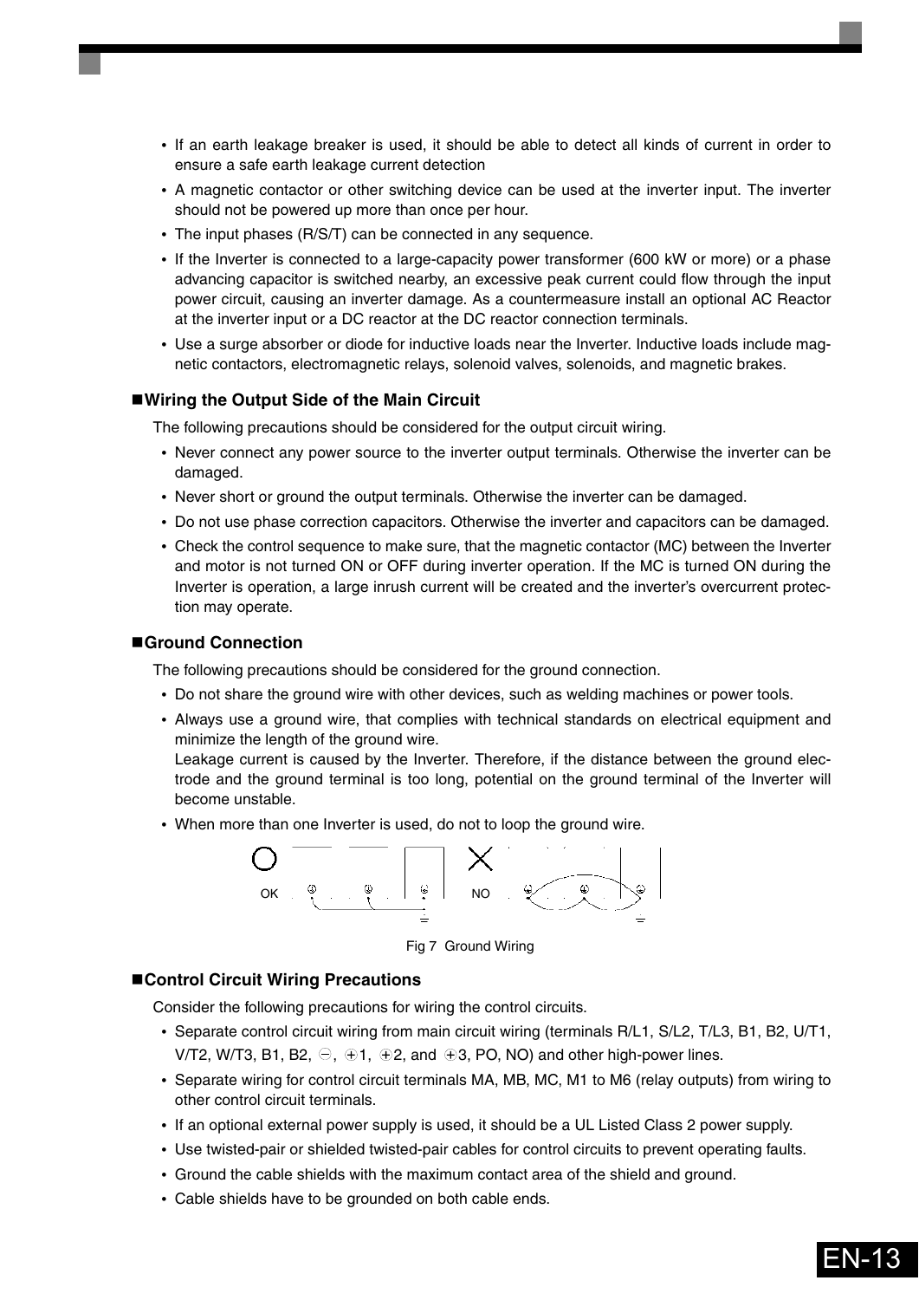- **•** If an earth leakage breaker is used, it should be able to detect all kinds of current in order to ensure a safe earth leakage current detection
- **•** A magnetic contactor or other switching device can be used at the inverter input. The inverter should not be powered up more than once per hour.
- **•** The input phases (R/S/T) can be connected in any sequence.
- **•** If the Inverter is connected to a large-capacity power transformer (600 kW or more) or a phase advancing capacitor is switched nearby, an excessive peak current could flow through the input power circuit, causing an inverter damage. As a countermeasure install an optional AC Reactor at the inverter input or a DC reactor at the DC reactor connection terminals.
- **•** Use a surge absorber or diode for inductive loads near the Inverter. Inductive loads include magnetic contactors, electromagnetic relays, solenoid valves, solenoids, and magnetic brakes.

#### **Wiring the Output Side of the Main Circuit**

The following precautions should be considered for the output circuit wiring.

- **•** Never connect any power source to the inverter output terminals. Otherwise the inverter can be damaged.
- **•** Never short or ground the output terminals. Otherwise the inverter can be damaged.
- **•** Do not use phase correction capacitors. Otherwise the inverter and capacitors can be damaged.
- **•** Check the control sequence to make sure, that the magnetic contactor (MC) between the Inverter and motor is not turned ON or OFF during inverter operation. If the MC is turned ON during the Inverter is operation, a large inrush current will be created and the inverter's overcurrent protection may operate.

#### **Ground Connection**

The following precautions should be considered for the ground connection.

- **•** Do not share the ground wire with other devices, such as welding machines or power tools.
- **•** Always use a ground wire, that complies with technical standards on electrical equipment and minimize the length of the ground wire.

Leakage current is caused by the Inverter. Therefore, if the distance between the ground electrode and the ground terminal is too long, potential on the ground terminal of the Inverter will become unstable.

**•** When more than one Inverter is used, do not to loop the ground wire.

![](_page_13_Figure_17.jpeg)

Fig 7 Ground Wiring

#### **Control Circuit Wiring Precautions**

Consider the following precautions for wiring the control circuits.

- **•** Separate control circuit wiring from main circuit wiring (terminals R/L1, S/L2, T/L3, B1, B2, U/T1, V/T2, W/T3, B1, B2,  $\ominus$ ,  $\oplus$ 1,  $\oplus$ 2, and  $\oplus$ 3, PO, NO) and other high-power lines.
- **•** Separate wiring for control circuit terminals MA, MB, MC, M1 to M6 (relay outputs) from wiring to other control circuit terminals.
- **•** If an optional external power supply is used, it should be a UL Listed Class 2 power supply.
- **•** Use twisted-pair or shielded twisted-pair cables for control circuits to prevent operating faults.
- **•** Ground the cable shields with the maximum contact area of the shield and ground.
- **•** Cable shields have to be grounded on both cable ends.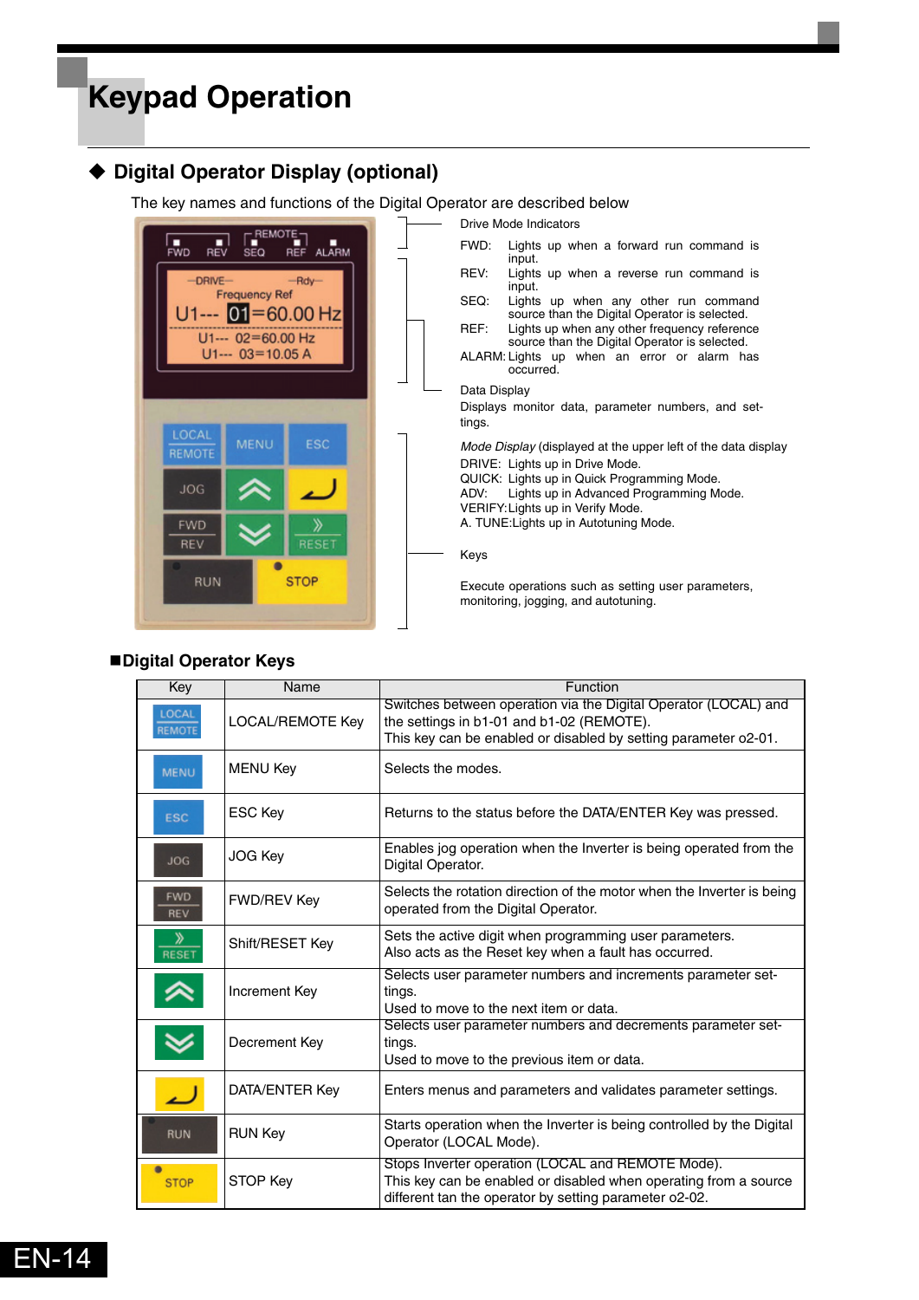## <span id="page-14-0"></span>**Keypad Operation**

### <span id="page-14-1"></span>**Digital Operator Display (optional)**

The key names and functions of the Digital Operator are described below

![](_page_14_Picture_3.jpeg)

### **Digital Operator Keys**

| Key                      | Name                    | Function                                                                                                                                                                        |
|--------------------------|-------------------------|---------------------------------------------------------------------------------------------------------------------------------------------------------------------------------|
| LOCAL<br>REMOTE          | <b>LOCAL/REMOTE Key</b> | Switches between operation via the Digital Operator (LOCAL) and<br>the settings in b1-01 and b1-02 (REMOTE).<br>This key can be enabled or disabled by setting parameter o2-01. |
| <b>MENU</b>              | <b>MENU Key</b>         | Selects the modes.                                                                                                                                                              |
| <b>ESC</b>               | ESC Key                 | Returns to the status before the DATA/ENTER Key was pressed.                                                                                                                    |
| <b>JOG</b>               | JOG Key                 | Enables jog operation when the Inverter is being operated from the<br>Digital Operator.                                                                                         |
| <b>FWD</b><br><b>REV</b> | <b>FWD/REV Key</b>      | Selects the rotation direction of the motor when the Inverter is being<br>operated from the Digital Operator.                                                                   |
| ≫<br><b>RESET</b>        | Shift/RESET Key         | Sets the active digit when programming user parameters.<br>Also acts as the Reset key when a fault has occurred.                                                                |
|                          | Increment Key           | Selects user parameter numbers and increments parameter set-<br>tings.<br>Used to move to the next item or data.                                                                |
|                          | Decrement Key           | Selects user parameter numbers and decrements parameter set-<br>tings.<br>Used to move to the previous item or data.                                                            |
|                          | DATA/ENTER Key          | Enters menus and parameters and validates parameter settings.                                                                                                                   |
| <b>RUN</b>               | <b>RUN Key</b>          | Starts operation when the Inverter is being controlled by the Digital<br>Operator (LOCAL Mode).                                                                                 |
| <b>STOP</b>              | STOP Key                | Stops Inverter operation (LOCAL and REMOTE Mode).<br>This key can be enabled or disabled when operating from a source<br>different tan the operator by setting parameter o2-02. |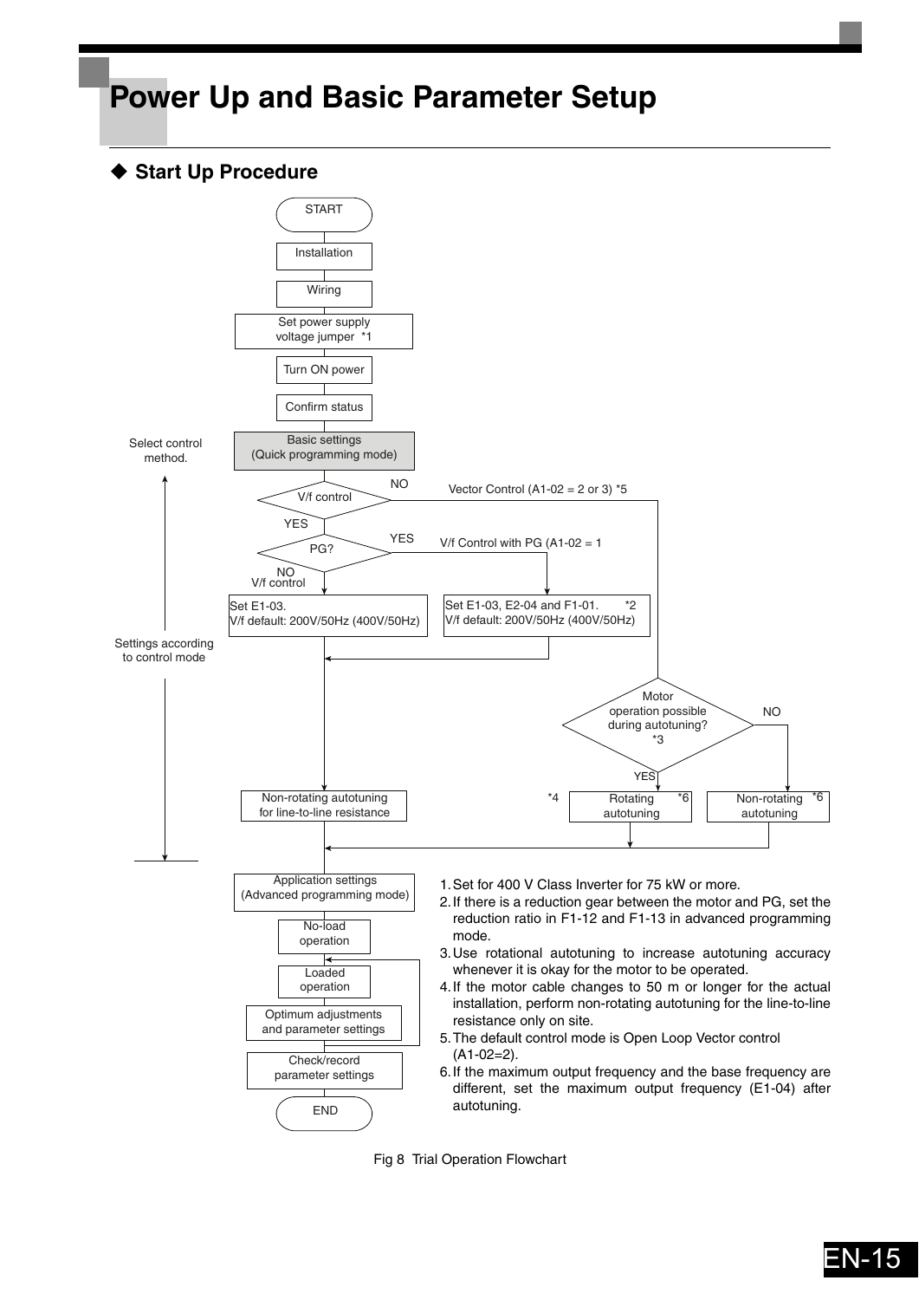## <span id="page-15-0"></span>**Power Up and Basic Parameter Setup**

### <span id="page-15-1"></span>◆ Start Up Procedure

![](_page_15_Figure_2.jpeg)

Fig 8 Trial Operation Flowchart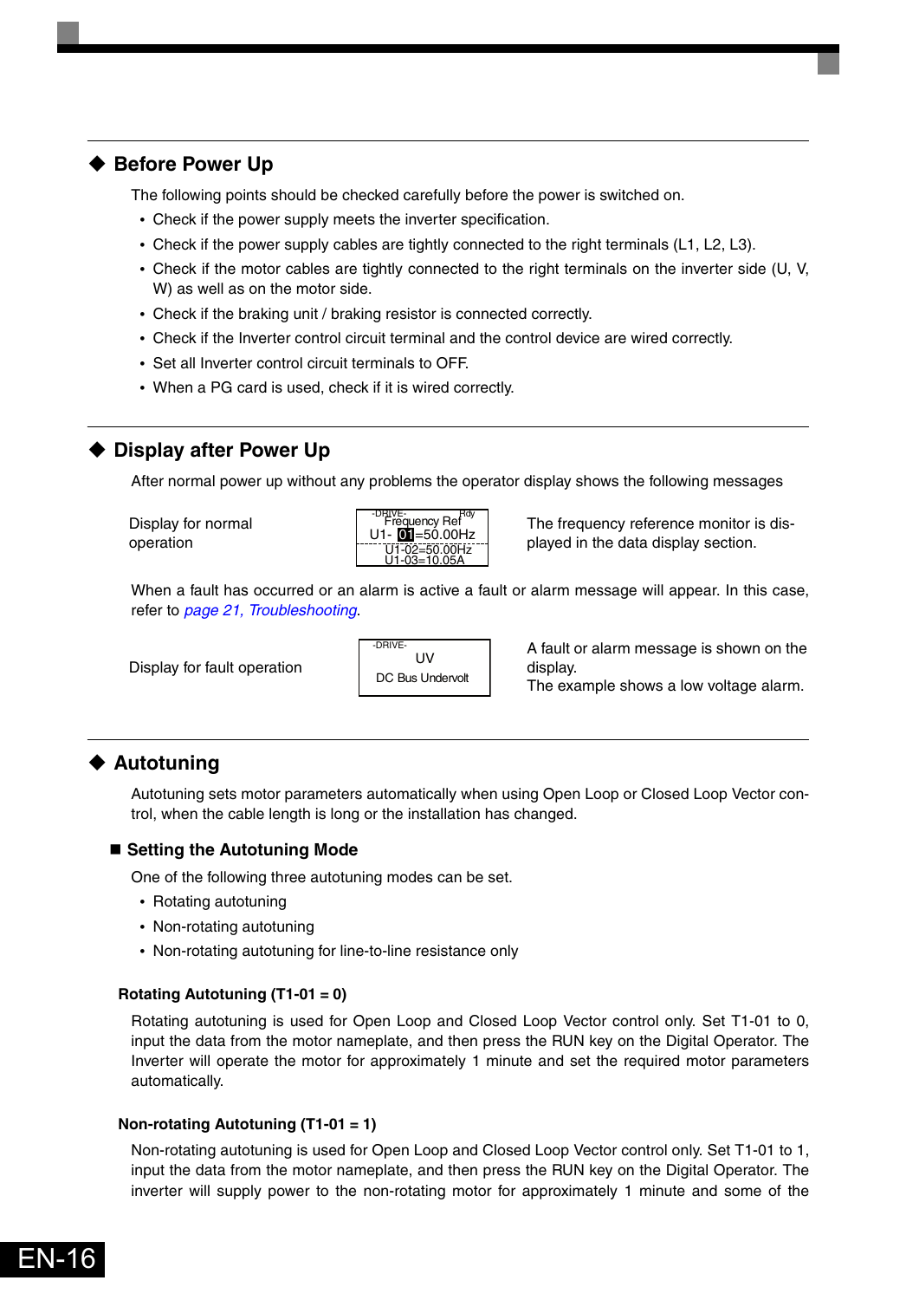### <span id="page-16-0"></span>◆ Before Power Up

The following points should be checked carefully before the power is switched on.

- **•** Check if the power supply meets the inverter specification.
- **•** Check if the power supply cables are tightly connected to the right terminals (L1, L2, L3).
- **•** Check if the motor cables are tightly connected to the right terminals on the inverter side (U, V, W) as well as on the motor side.
- **•** Check if the braking unit / braking resistor is connected correctly.
- **•** Check if the Inverter control circuit terminal and the control device are wired correctly.
- **•** Set all Inverter control circuit terminals to OFF.
- **•** When a PG card is used, check if it is wired correctly.

### <span id="page-16-1"></span>**Display after Power Up**

After normal power up without any problems the operator display shows the following messages

Display for normal operation

![](_page_16_Picture_12.jpeg)

The frequency reference monitor is displayed in the data display section.

When a fault has occurred or an alarm is active a fault or alarm message will appear. In this case, refer to *[page 21, Troubleshooting](#page-21-0)*.

Display for fault operation

![](_page_16_Picture_16.jpeg)

A fault or alarm message is shown on the display.

The example shows a low voltage alarm.

### <span id="page-16-2"></span>**Autotuning**

EN-16

Autotuning sets motor parameters automatically when using Open Loop or Closed Loop Vector control, when the cable length is long or the installation has changed.

### **Setting the Autotuning Mode**

One of the following three autotuning modes can be set.

- **•** Rotating autotuning
- **•** Non-rotating autotuning
- **•** Non-rotating autotuning for line-to-line resistance only

### **Rotating Autotuning (T1-01 = 0)**

Rotating autotuning is used for Open Loop and Closed Loop Vector control only. Set T1-01 to 0, input the data from the motor nameplate, and then press the RUN key on the Digital Operator. The Inverter will operate the motor for approximately 1 minute and set the required motor parameters automatically.

#### **Non-rotating Autotuning (T1-01 = 1)**

Non-rotating autotuning is used for Open Loop and Closed Loop Vector control only. Set T1-01 to 1, input the data from the motor nameplate, and then press the RUN key on the Digital Operator. The inverter will supply power to the non-rotating motor for approximately 1 minute and some of the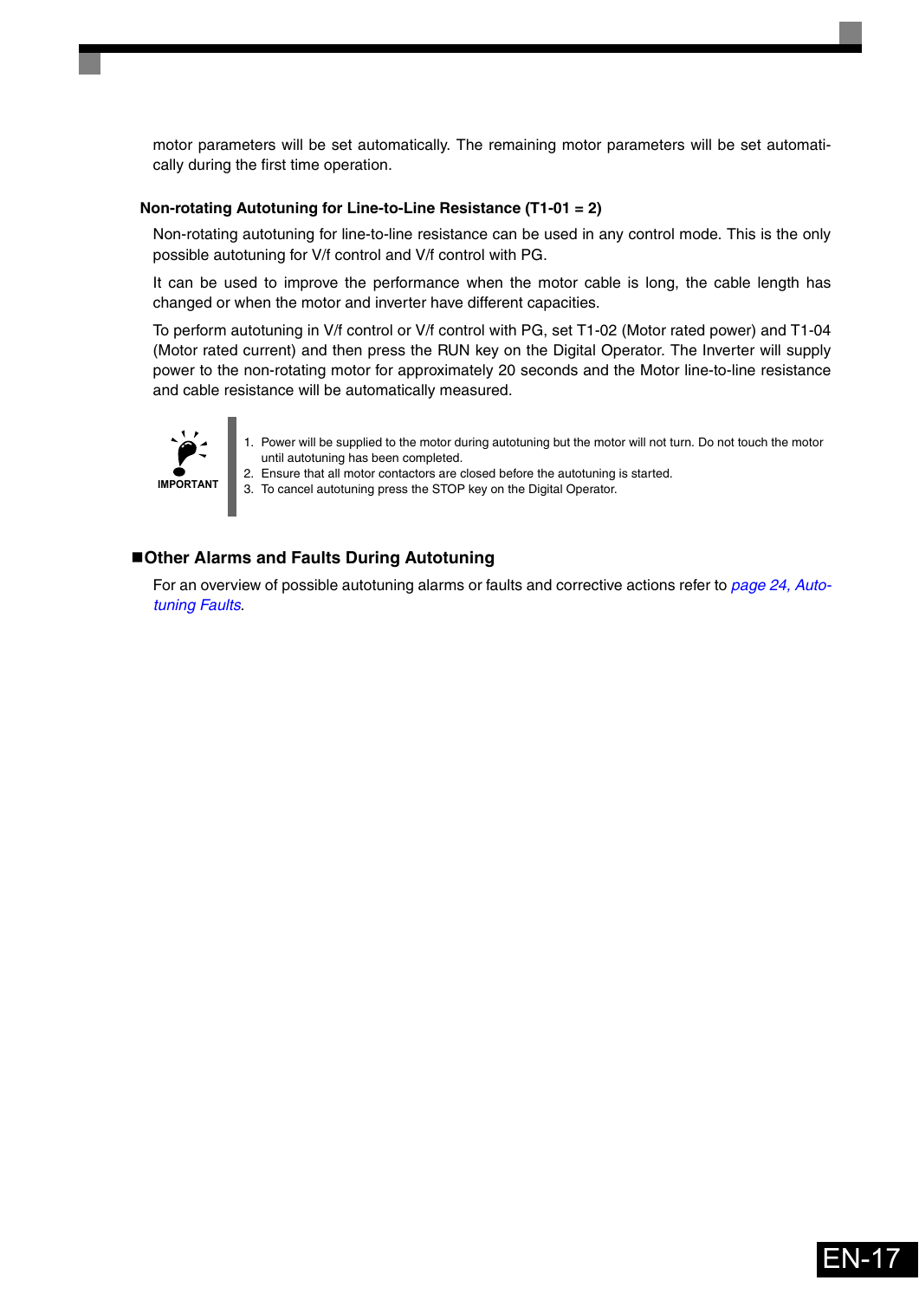motor parameters will be set automatically. The remaining motor parameters will be set automatically during the first time operation.

#### **Non-rotating Autotuning for Line-to-Line Resistance (T1-01 = 2)**

Non-rotating autotuning for line-to-line resistance can be used in any control mode. This is the only possible autotuning for V/f control and V/f control with PG.

It can be used to improve the performance when the motor cable is long, the cable length has changed or when the motor and inverter have different capacities.

To perform autotuning in V/f control or V/f control with PG, set T1-02 (Motor rated power) and T1-04 (Motor rated current) and then press the RUN key on the Digital Operator. The Inverter will supply power to the non-rotating motor for approximately 20 seconds and the Motor line-to-line resistance and cable resistance will be automatically measured.

![](_page_17_Picture_5.jpeg)

- 1. Power will be supplied to the motor during autotuning but the motor will not turn. Do not touch the motor until autotuning has been completed.
- 2. Ensure that all motor contactors are closed before the autotuning is started.

3. To cancel autotuning press the STOP key on the Digital Operator.

#### **Other Alarms and Faults During Autotuning**

For an overview of possible autotuning alarms or faults and corrective actions refer to *[page 24, Auto](#page-24-0)[tuning Faults](#page-24-0)*.

![](_page_17_Picture_11.jpeg)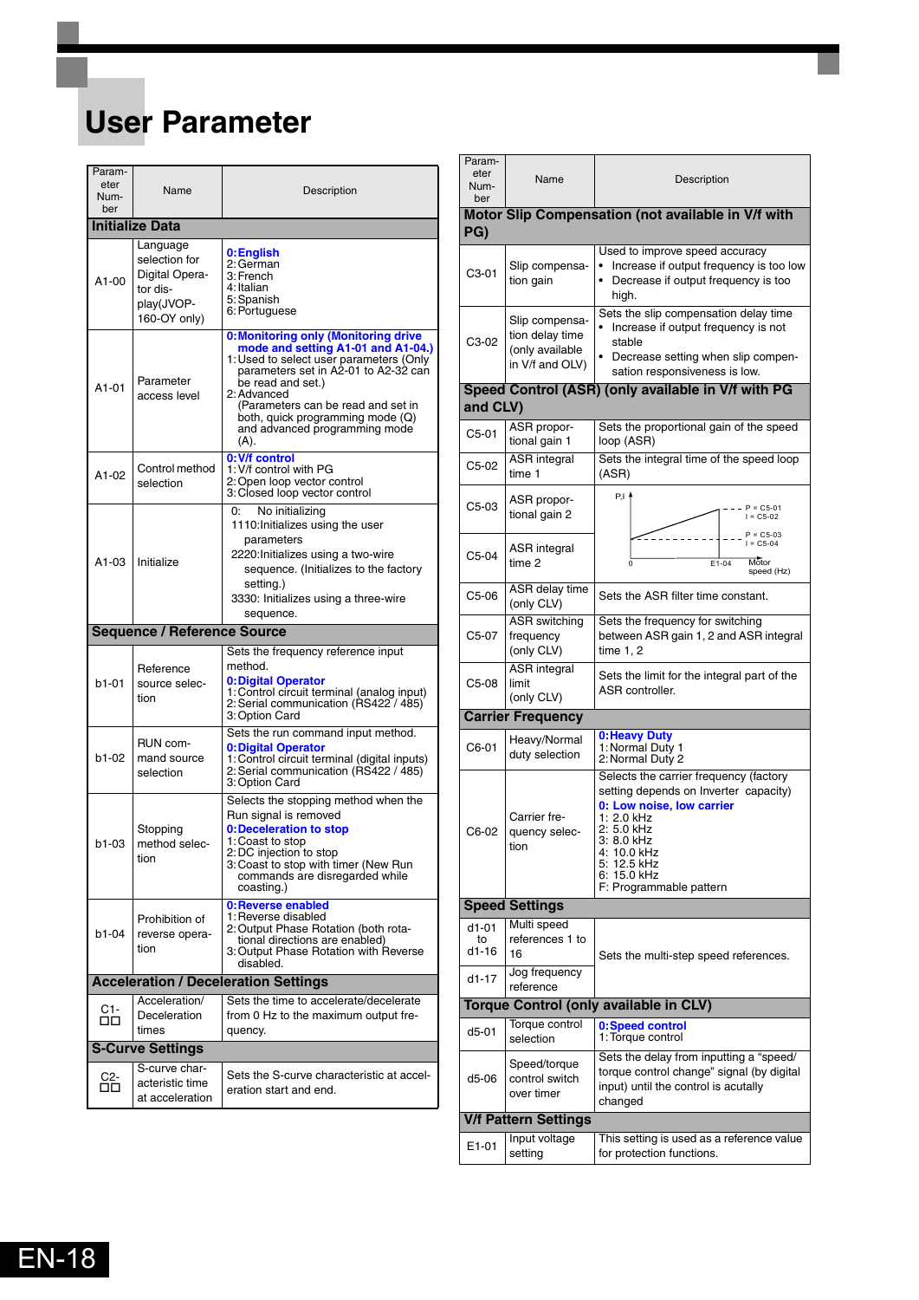## <span id="page-18-0"></span>**User Parameter**

| Param-<br>eter<br>Num-<br>ber | Name                                                                                  | Description                                                                                                                                                                                                                                                                                                                |
|-------------------------------|---------------------------------------------------------------------------------------|----------------------------------------------------------------------------------------------------------------------------------------------------------------------------------------------------------------------------------------------------------------------------------------------------------------------------|
|                               | <b>Initialize Data</b>                                                                |                                                                                                                                                                                                                                                                                                                            |
| A1-00                         | Language<br>selection for<br>Digital Opera-<br>tor dis-<br>play(JVOP-<br>160-OY only) | 0:English<br>2: German<br>3: French<br>4: Italian<br>5: Spanish<br>6: Portuguese                                                                                                                                                                                                                                           |
| A1-01                         | Parameter<br>access level                                                             | <b>0:Monitoring only (Monitoring drive</b><br>mode and setting A1-01 and A1-04.)<br>1: Used to select user parameters (Only<br>parameters set in A2-01 to A2-32 can<br>be read and set.)<br>2: Advanced<br>(Parameters can be read and set in<br>both, quick programming mode (Q)<br>and advanced programming mode<br>(A). |
| A1-02                         | Control method<br>selection                                                           | 0: V/f control<br>1: V/f control with PG<br>2: Open loop vector control<br>3: Closed loop vector control                                                                                                                                                                                                                   |
| A1-03                         | Initialize                                                                            | No initializing<br>0:<br>1110: Initializes using the user<br>parameters<br>2220:Initializes using a two-wire<br>sequence. (Initializes to the factory<br>setting.)<br>3330: Initializes using a three-wire<br>sequence.                                                                                                    |
|                               | <b>Sequence / Reference Source</b>                                                    |                                                                                                                                                                                                                                                                                                                            |
|                               |                                                                                       | Sets the frequency reference input                                                                                                                                                                                                                                                                                         |
| b1-01                         | Reference<br>source selec-<br>tion                                                    | method.<br>0: Digital Operator<br>1: Control circuit terminal (analog input)<br>2: Serial communication (RS422 / 485)<br>3: Option Card                                                                                                                                                                                    |
| b1-02                         | RUN com-<br>mand source<br>selection                                                  | Sets the run command input method.<br>0: Digital Operator<br>1: Control circuit terminal (digital inputs)<br>2: Serial communication (RS422 / 485)<br>3: Option Card                                                                                                                                                       |
| b1-03                         | Stopping<br>method selec-<br>tion                                                     | Selects the stopping method when the<br>Run signal is removed<br>0:Deceleration to stop<br>1: Coast to stop<br>2: DC injection to stop<br>3: Coast to stop with timer (New Run<br>commands are disregarded while<br>coasting.)                                                                                             |
| b1-04                         | Prohibition of<br>reverse opera-<br>tion                                              | 0: Reverse enabled<br>1: Reverse disabled<br>2: Output Phase Rotation (both rota-<br>tional directions are enabled)<br>3: Output Phase Rotation with Reverse<br>disabled.                                                                                                                                                  |
|                               |                                                                                       | <b>Acceleration / Deceleration Settings</b>                                                                                                                                                                                                                                                                                |
| C1-<br>ᄆᄆ                     | Acceleration/<br>Deceleration<br>times                                                | Sets the time to accelerate/decelerate<br>from 0 Hz to the maximum output fre-<br>quency.                                                                                                                                                                                                                                  |
|                               | <b>S-Curve Settings</b>                                                               |                                                                                                                                                                                                                                                                                                                            |
| C2-<br>00                     | S-curve char-<br>acteristic time<br>at acceleration                                   | Sets the S-curve characteristic at accel-<br>eration start and end.                                                                                                                                                                                                                                                        |

| Param-<br>eter<br>Num-<br>ber | Name                                                                    | Description                                                                                                                                                                                                                    |  |  |  |  |
|-------------------------------|-------------------------------------------------------------------------|--------------------------------------------------------------------------------------------------------------------------------------------------------------------------------------------------------------------------------|--|--|--|--|
| PG)                           |                                                                         | Motor Slip Compensation (not available in V/f with                                                                                                                                                                             |  |  |  |  |
|                               |                                                                         |                                                                                                                                                                                                                                |  |  |  |  |
| C3-01                         | Slip compensa-<br>tion gain                                             | Used to improve speed accuracy<br>Increase if output frequency is too low<br>Decrease if output frequency is too<br>high.                                                                                                      |  |  |  |  |
| C3-02                         | Slip compensa-<br>tion delay time<br>(only available<br>in V/f and OLV) | Sets the slip compensation delay time<br>Increase if output frequency is not<br>stable<br>• Decrease setting when slip compen-<br>sation responsiveness is low.                                                                |  |  |  |  |
|                               |                                                                         | Speed Control (ASR) (only available in V/f with PG                                                                                                                                                                             |  |  |  |  |
| and CLV)                      |                                                                         |                                                                                                                                                                                                                                |  |  |  |  |
| C5-01                         | ASR propor-<br>tional gain 1                                            | Sets the proportional gain of the speed<br>loop (ASR)                                                                                                                                                                          |  |  |  |  |
| C5-02                         | <b>ASR</b> integral<br>time 1                                           | Sets the integral time of the speed loop<br>(ASR)                                                                                                                                                                              |  |  |  |  |
| C5-03                         | ASR propor-<br>tional gain 2                                            | P.I f<br>$P = C5-01$<br>$I = C5-02$                                                                                                                                                                                            |  |  |  |  |
| C5-04                         | ASR integral<br>time 2                                                  | $P = C5-03$<br>$I = C5-04$<br>Motor<br>$E1 - 04$<br>$\Omega$<br>speed (Hz)                                                                                                                                                     |  |  |  |  |
| C5-06                         | ASR delay time<br>(only CLV)                                            | Sets the ASR filter time constant.                                                                                                                                                                                             |  |  |  |  |
| C5-07                         | <b>ASR</b> switching<br>frequency<br>(only CLV)                         | Sets the frequency for switching<br>between ASR gain 1, 2 and ASR integral<br>time 1, 2                                                                                                                                        |  |  |  |  |
| C5-08                         | <b>ASR</b> integral<br>limit<br>(only CLV)                              | Sets the limit for the integral part of the<br>ASR controller.                                                                                                                                                                 |  |  |  |  |
|                               | <b>Carrier Frequency</b>                                                |                                                                                                                                                                                                                                |  |  |  |  |
| C6-01                         | Heavy/Normal<br>duty selection                                          | 0: Heavy Duty<br>1: Normal Duty 1<br>2: Normal Duty 2                                                                                                                                                                          |  |  |  |  |
| C6-02                         | Carrier fre-<br>quency selec-<br>tion                                   | Selects the carrier frequency (factory<br>setting depends on Inverter capacity)<br>0: Low noise, low carrier<br>1: 2.0 kHz<br>2: 5.0 kHz<br>3: 8.0 kHz<br>4: 10.0 kHz<br>5: 12.5 kHz<br>6: 15.0 kHz<br>F: Programmable pattern |  |  |  |  |
|                               | <b>Speed Settings</b>                                                   |                                                                                                                                                                                                                                |  |  |  |  |
| $d1-01$<br>to<br>$d1-16$      | Multi speed<br>references 1 to<br>16                                    | Sets the multi-step speed references.                                                                                                                                                                                          |  |  |  |  |
| d1-17                         | Jog frequency<br>reference                                              |                                                                                                                                                                                                                                |  |  |  |  |
|                               |                                                                         | <b>Torque Control (only available in CLV)</b>                                                                                                                                                                                  |  |  |  |  |
| $d5-01$                       | Torque control<br>selection                                             | 0:Speed control<br>1: Torque control                                                                                                                                                                                           |  |  |  |  |
| d5-06                         | Speed/torque<br>control switch<br>over timer                            | Sets the delay from inputting a "speed/<br>torque control change" signal (by digital<br>input) until the control is acutally<br>changed                                                                                        |  |  |  |  |
|                               | <b>V/f Pattern Settings</b>                                             |                                                                                                                                                                                                                                |  |  |  |  |
| E1-01                         | Input voltage<br>setting                                                | This setting is used as a reference value<br>for protection functions.                                                                                                                                                         |  |  |  |  |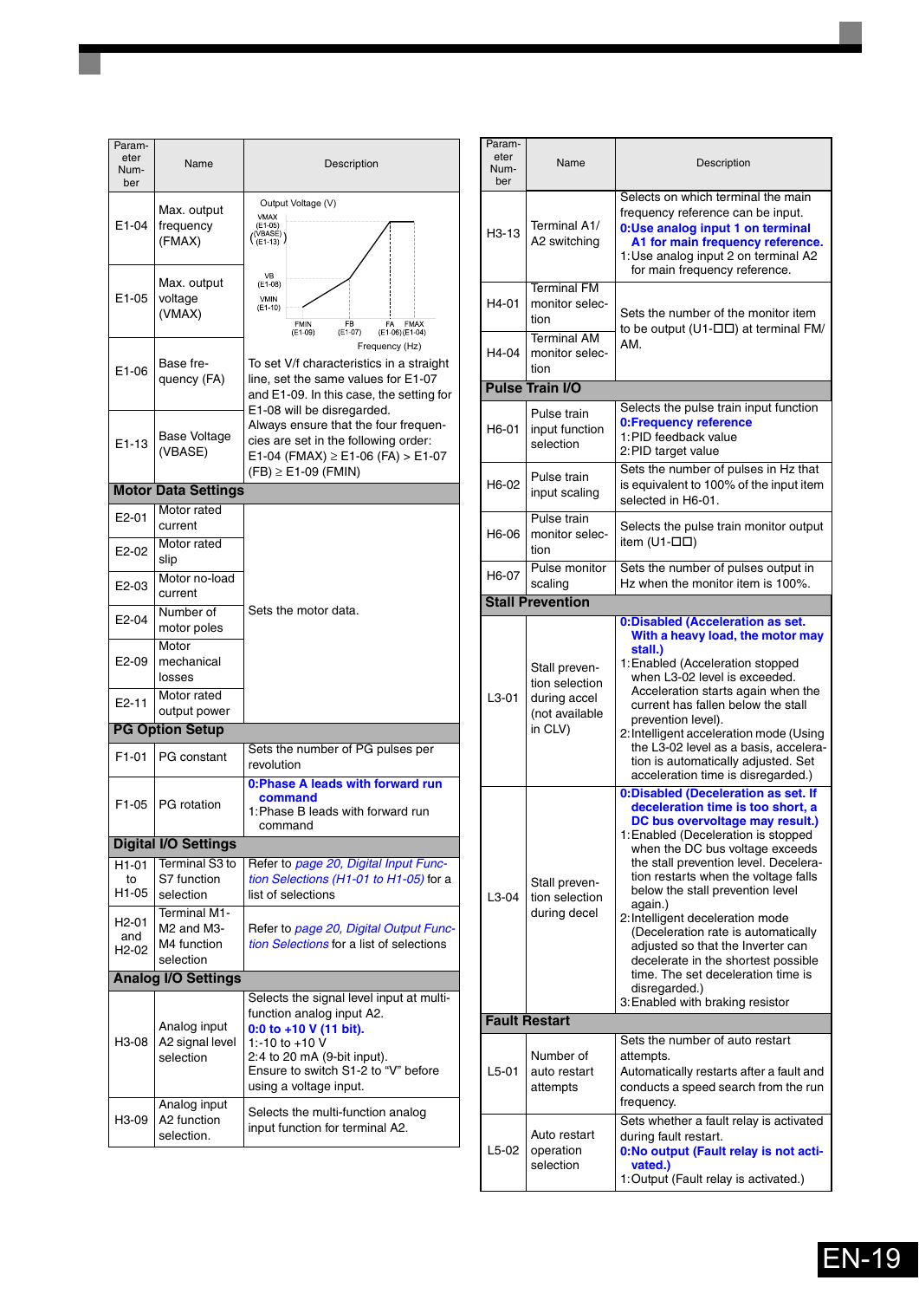| Param-<br>eter<br>Num-<br>ber | Name                                                                            | Description                                                                                                                                                                                                       |  |
|-------------------------------|---------------------------------------------------------------------------------|-------------------------------------------------------------------------------------------------------------------------------------------------------------------------------------------------------------------|--|
| E1-04                         | Max. output<br>frequency<br>(FMAX)                                              | Output Voltage (V)<br><b>VMAX</b><br>$(E1-05)$<br>( <sup>(VBASÉ)</sup> )<br>(E1-13)                                                                                                                               |  |
| E1-05                         | Max. output<br>voltage<br>(VMAX)                                                | VB<br>$(E1-08)$<br>VMIN<br>$(E1-10)$<br><b>FMIN</b><br>FB<br>FA<br><b>FMAX</b><br>$(E1-09)$<br>$(E1-07)$<br>(E1-06) (E1-04)                                                                                       |  |
| E1-06                         | Base fre-<br>quency (FA)                                                        | Frequency (Hz)<br>To set V/f characteristics in a straight<br>line, set the same values for E1-07<br>and E1-09. In this case, the setting for<br>E1-08 will be disregarded.                                       |  |
| E1-13                         | <b>Base Voltage</b><br>(VBASE)                                                  | Always ensure that the four frequen-<br>cies are set in the following order:<br>E1-04 (FMAX) $\ge$ E1-06 (FA) $>$ E1-07<br>$(FB) \geq E1-09$ (FMIN)                                                               |  |
|                               | <b>Motor Data Settings</b>                                                      |                                                                                                                                                                                                                   |  |
| E <sub>2</sub> -01            | Motor rated<br>current                                                          |                                                                                                                                                                                                                   |  |
| E2-02                         | Motor rated<br>slip                                                             |                                                                                                                                                                                                                   |  |
| E2-03                         | Motor no-load<br>current                                                        |                                                                                                                                                                                                                   |  |
| E2-04                         | Number of<br>motor poles                                                        | Sets the motor data.                                                                                                                                                                                              |  |
| E2-09                         | Motor<br>mechanical<br>losses                                                   |                                                                                                                                                                                                                   |  |
| E2-11                         | Motor rated<br>output power                                                     |                                                                                                                                                                                                                   |  |
|                               | <b>PG Option Setup</b>                                                          |                                                                                                                                                                                                                   |  |
| F1-01                         | <b>PG</b> constant                                                              | Sets the number of PG pulses per<br>revolution                                                                                                                                                                    |  |
| F1-05                         | PG rotation                                                                     | 0: Phase A leads with forward run<br>command<br>1: Phase B leads with forward run<br>command                                                                                                                      |  |
|                               | <b>Digital I/O Settings</b>                                                     |                                                                                                                                                                                                                   |  |
| H <sub>1</sub> -01            | Terminal S3 to                                                                  | Refer to page 20, Digital Input Func-<br>tion Selections (H1-01 to H1-05) for a                                                                                                                                   |  |
| to<br>H1-05                   | S7 function<br>selection                                                        | list of selections                                                                                                                                                                                                |  |
| H2-01<br>and<br>H2-02         | Terminal M1-<br>M <sub>2</sub> and M <sub>3</sub> -<br>M4 function<br>selection | Refer to page 20, Digital Output Func-<br>tion Selections for a list of selections                                                                                                                                |  |
|                               | <b>Analog I/O Settings</b>                                                      |                                                                                                                                                                                                                   |  |
| H3-08                         | Analog input<br>A2 signal level<br>selection                                    | Selects the signal level input at multi-<br>function analog input A2.<br>0:0 to +10 V (11 bit).<br>1:-10 to +10 V<br>2:4 to 20 mA (9-bit input).<br>Ensure to switch S1-2 to "V" before<br>using a voltage input. |  |
| H3-09                         | Analog input<br>A2 function<br>selection.                                       | Selects the multi-function analog<br>input function for terminal A2.                                                                                                                                              |  |

| Param-<br>eter<br>Num-<br>ber | Name                                                                                                                                                                                                                                                     | Description                                                                                                                                                                                                                                                                                                                                                                                                                                                                                                                                                             |  |
|-------------------------------|----------------------------------------------------------------------------------------------------------------------------------------------------------------------------------------------------------------------------------------------------------|-------------------------------------------------------------------------------------------------------------------------------------------------------------------------------------------------------------------------------------------------------------------------------------------------------------------------------------------------------------------------------------------------------------------------------------------------------------------------------------------------------------------------------------------------------------------------|--|
| H <sub>3</sub> -13            | Selects on which terminal the main<br>frequency reference can be input.<br>Terminal A1/<br>0:Use analog input 1 on terminal<br>A2 switching<br>A1 for main frequency reference.<br>1: Use analog input 2 on terminal A2<br>for main frequency reference. |                                                                                                                                                                                                                                                                                                                                                                                                                                                                                                                                                                         |  |
| H4-01                         | <b>Terminal FM</b><br>monitor selec-<br>tion                                                                                                                                                                                                             | Sets the number of the monitor item<br>to be output (U1- $\square\square$ ) at terminal FM/                                                                                                                                                                                                                                                                                                                                                                                                                                                                             |  |
| H4-04                         | <b>Terminal AM</b><br>monitor selec-<br>tion                                                                                                                                                                                                             | AM.                                                                                                                                                                                                                                                                                                                                                                                                                                                                                                                                                                     |  |
|                               | <b>Pulse Train I/O</b>                                                                                                                                                                                                                                   |                                                                                                                                                                                                                                                                                                                                                                                                                                                                                                                                                                         |  |
| H6-01                         | Pulse train<br>input function<br>selection                                                                                                                                                                                                               | Selects the pulse train input function<br>0: Frequency reference<br>1: PID feedback value<br>2: PID target value                                                                                                                                                                                                                                                                                                                                                                                                                                                        |  |
| H6-02                         | Pulse train<br>input scaling                                                                                                                                                                                                                             | Sets the number of pulses in Hz that<br>is equivalent to 100% of the input item<br>selected in H6-01.                                                                                                                                                                                                                                                                                                                                                                                                                                                                   |  |
| H6-06                         | Pulse train<br>monitor selec-<br>tion                                                                                                                                                                                                                    | Selects the pulse train monitor output<br>item (U1- $\square \square$ )                                                                                                                                                                                                                                                                                                                                                                                                                                                                                                 |  |
| H6-07                         | Pulse monitor<br>scaling                                                                                                                                                                                                                                 | Sets the number of pulses output in<br>Hz when the monitor item is 100%.                                                                                                                                                                                                                                                                                                                                                                                                                                                                                                |  |
|                               | <b>Stall Prevention</b>                                                                                                                                                                                                                                  |                                                                                                                                                                                                                                                                                                                                                                                                                                                                                                                                                                         |  |
| $L3-01$                       | Stall preven-<br>tion selection<br>during accel<br>(not available<br>in CLV)                                                                                                                                                                             | 0:Disabled (Acceleration as set.<br>With a heavy load, the motor may<br>stall.)<br>1: Enabled (Acceleration stopped<br>when L3-02 level is exceeded.<br>Acceleration starts again when the<br>current has fallen below the stall<br>prevention level).<br>2: Intelligent acceleration mode (Using<br>the L3-02 level as a basis, accelera-<br>tion is automatically adjusted. Set<br>acceleration time is disregarded.)                                                                                                                                                 |  |
| $L3-04$                       | Stall preven-<br>tion selection<br>during decel                                                                                                                                                                                                          | 0:Disabled (Deceleration as set. If<br>deceleration time is too short, a<br>DC bus overvoltage may result.)<br>1: Enabled (Deceleration is stopped<br>when the DC bus voltage exceeds<br>the stall prevention level. Decelera-<br>tion restarts when the voltage falls<br>below the stall prevention level<br>again.)<br>2: Intelligent deceleration mode<br>(Deceleration rate is automatically<br>adjusted so that the Inverter can<br>decelerate in the shortest possible<br>time. The set deceleration time is<br>disregarded.)<br>3: Enabled with braking resistor |  |
|                               | <b>Fault Restart</b>                                                                                                                                                                                                                                     |                                                                                                                                                                                                                                                                                                                                                                                                                                                                                                                                                                         |  |
| $L5-01$                       | Number of<br>auto restart<br>attempts                                                                                                                                                                                                                    | Sets the number of auto restart<br>attempts.<br>Automatically restarts after a fault and<br>conducts a speed search from the run<br>frequency.                                                                                                                                                                                                                                                                                                                                                                                                                          |  |
| $L5-02$                       | Auto restart<br>operation<br>selection                                                                                                                                                                                                                   | Sets whether a fault relay is activated<br>during fault restart.<br>0:No output (Fault relay is not acti-<br>vated.)<br>1: Output (Fault relay is activated.)                                                                                                                                                                                                                                                                                                                                                                                                           |  |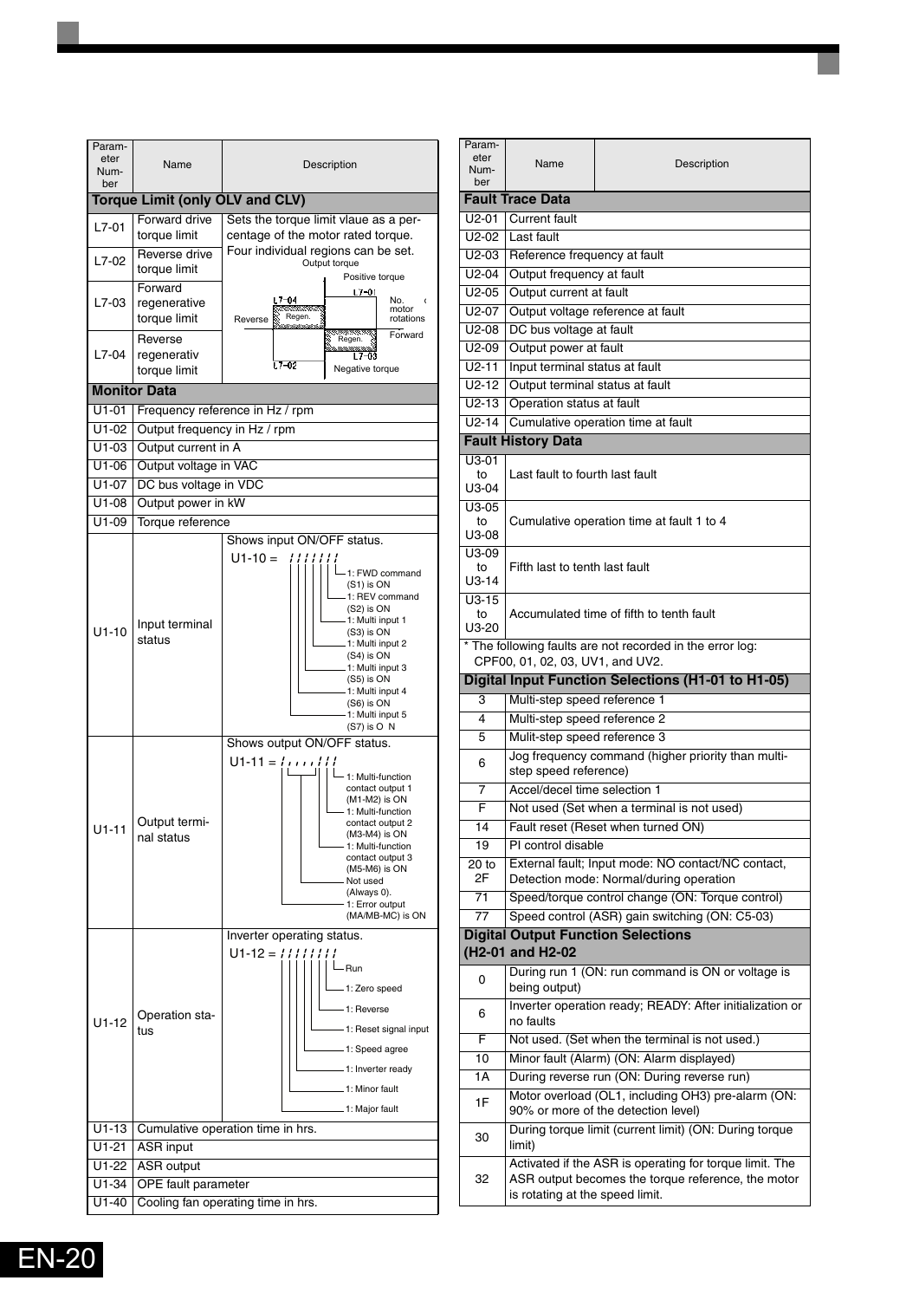![](_page_20_Figure_0.jpeg)

| Param-<br>eter<br>Num-<br>ber | Name                                       | Description                                                                               |  |  |  |
|-------------------------------|--------------------------------------------|-------------------------------------------------------------------------------------------|--|--|--|
|                               | <b>Fault Trace Data</b>                    |                                                                                           |  |  |  |
| $U2-01$                       | <b>Current</b> fault                       |                                                                                           |  |  |  |
| $U2-02$                       | Last fault                                 |                                                                                           |  |  |  |
| $U2-03$                       | Reference frequency at fault               |                                                                                           |  |  |  |
| $U2-04$                       | Output frequency at fault                  |                                                                                           |  |  |  |
| $U2-05$                       | Output current at fault                    |                                                                                           |  |  |  |
| $U2-07$                       |                                            | Output voltage reference at fault                                                         |  |  |  |
| $U2-08$                       | DC bus voltage at fault                    |                                                                                           |  |  |  |
| $U2-09$                       | Output power at fault                      |                                                                                           |  |  |  |
| $U2 - 11$                     | Input terminal status at fault             |                                                                                           |  |  |  |
| $U2-12$                       | Output terminal status at fault            |                                                                                           |  |  |  |
| $U2-13$                       | Operation status at fault                  |                                                                                           |  |  |  |
| $U2-14$                       |                                            | Cumulative operation time at fault                                                        |  |  |  |
|                               | <b>Fault History Data</b>                  |                                                                                           |  |  |  |
| U3-01                         |                                            |                                                                                           |  |  |  |
| to<br>U3-04                   | Last fault to fourth last fault            |                                                                                           |  |  |  |
| U3-05                         |                                            |                                                                                           |  |  |  |
| to                            |                                            | Cumulative operation time at fault 1 to 4                                                 |  |  |  |
| U3-08                         |                                            |                                                                                           |  |  |  |
| U3-09<br>to                   | Fifth last to tenth last fault             |                                                                                           |  |  |  |
| $U3-14$                       |                                            |                                                                                           |  |  |  |
| $U3-15$                       |                                            |                                                                                           |  |  |  |
| to                            |                                            | Accumulated time of fifth to tenth fault                                                  |  |  |  |
| U3-20                         |                                            |                                                                                           |  |  |  |
|                               |                                            | * The following faults are not recorded in the error log:                                 |  |  |  |
|                               | CPF00, 01, 02, 03, UV1, and UV2.           | <b>Digital Input Function Selections (H1-01 to H1-05)</b>                                 |  |  |  |
| 3                             | Multi-step speed reference 1               |                                                                                           |  |  |  |
| 4                             | Multi-step speed reference 2               |                                                                                           |  |  |  |
| 5                             | Mulit-step speed reference 3               |                                                                                           |  |  |  |
|                               |                                            | Jog frequency command (higher priority than multi-                                        |  |  |  |
| 6                             | step speed reference)                      |                                                                                           |  |  |  |
| 7                             | Accel/decel time selection 1               |                                                                                           |  |  |  |
| F                             | Not used (Set when a terminal is not used) |                                                                                           |  |  |  |
| 14                            |                                            | Fault reset (Reset when turned ON)                                                        |  |  |  |
| 19                            | PI control disable                         |                                                                                           |  |  |  |
| 20 to                         |                                            | External fault; Input mode: NO contact/NC contact,                                        |  |  |  |
| 2F                            |                                            | Detection mode: Normal/during operation                                                   |  |  |  |
| 71                            |                                            | Speed/torque control change (ON: Torque control)                                          |  |  |  |
| 77                            |                                            | Speed control (ASR) gain switching (ON: C5-03)                                            |  |  |  |
|                               |                                            | <b>Digital Output Function Selections</b>                                                 |  |  |  |
|                               | (H <sub>2</sub> -01 and H <sub>2</sub> -02 |                                                                                           |  |  |  |
| 0                             | being output)                              | During run 1 (ON: run command is ON or voltage is                                         |  |  |  |
| 6                             | no faults                                  | Inverter operation ready; READY: After initialization or                                  |  |  |  |
| F                             |                                            | Not used. (Set when the terminal is not used.)                                            |  |  |  |
| 10                            |                                            | Minor fault (Alarm) (ON: Alarm displayed)                                                 |  |  |  |
| 1A                            |                                            | During reverse run (ON: During reverse run)                                               |  |  |  |
| 1F                            |                                            | Motor overload (OL1, including OH3) pre-alarm (ON:<br>90% or more of the detection level) |  |  |  |
| 30                            |                                            | During torque limit (current limit) (ON: During torque                                    |  |  |  |
|                               | limit)                                     |                                                                                           |  |  |  |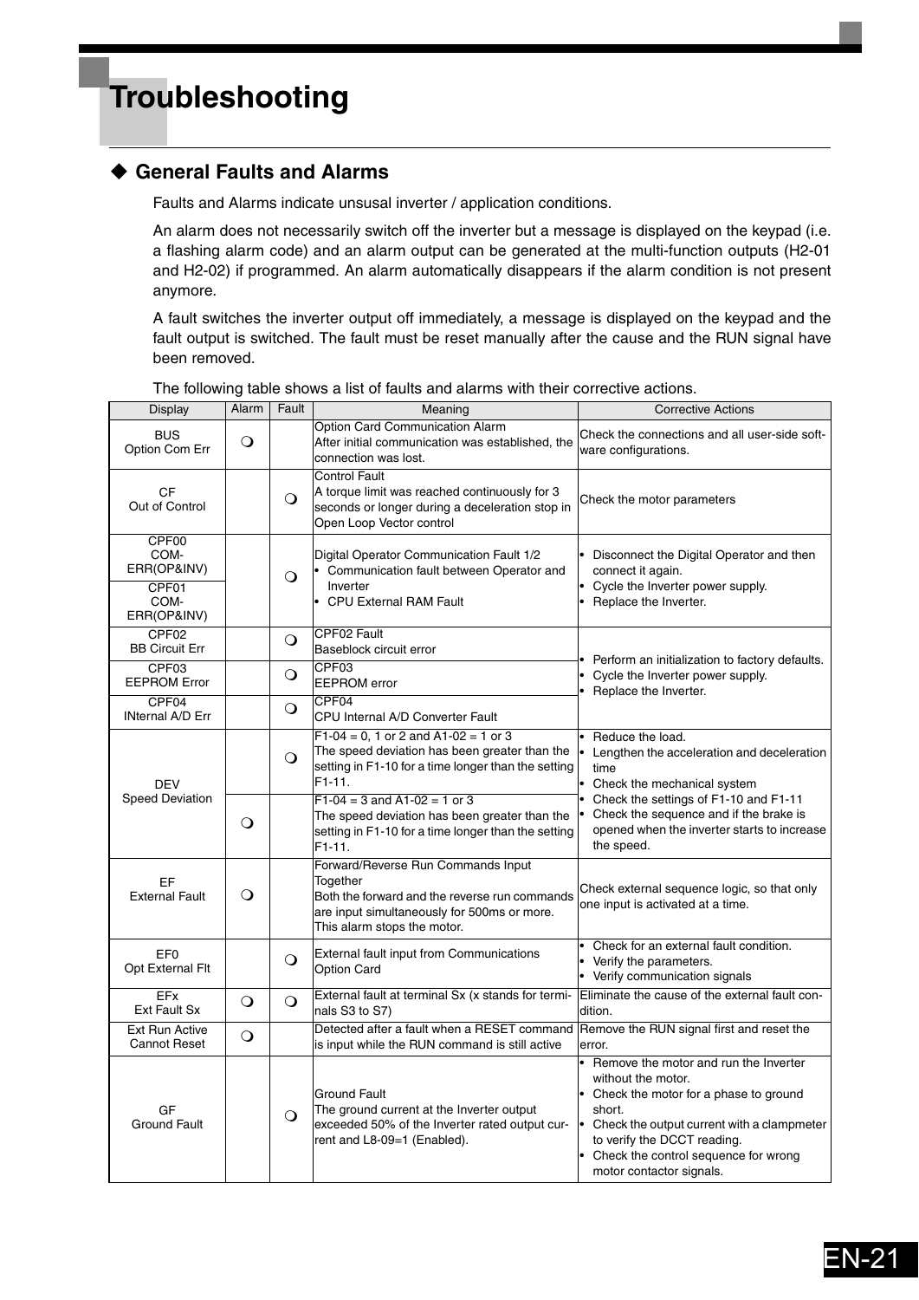## <span id="page-21-0"></span>**Troubleshooting**

### <span id="page-21-1"></span>**General Faults and Alarms**

Faults and Alarms indicate unsusal inverter / application conditions.

An alarm does not necessarily switch off the inverter but a message is displayed on the keypad (i.e. a flashing alarm code) and an alarm output can be generated at the multi-function outputs (H2-01 and H2-02) if programmed. An alarm automatically disappears if the alarm condition is not present anymore.

A fault switches the inverter output off immediately, a message is displayed on the keypad and the fault output is switched. The fault must be reset manually after the cause and the RUN signal have been removed.

| Display                                                      | Alarm    | Fault    | Meaning                                                                                                                                                                       | <b>Corrective Actions</b>                                                                                                                                                                                                                                       |
|--------------------------------------------------------------|----------|----------|-------------------------------------------------------------------------------------------------------------------------------------------------------------------------------|-----------------------------------------------------------------------------------------------------------------------------------------------------------------------------------------------------------------------------------------------------------------|
| <b>BUS</b><br>Option Com Err                                 | $\circ$  |          | Option Card Communication Alarm<br>After initial communication was established, the<br>connection was lost.                                                                   | Check the connections and all user-side soft-<br>ware configurations.                                                                                                                                                                                           |
| <b>CF</b><br>Out of Control                                  |          | $\circ$  | <b>Control Fault</b><br>A torque limit was reached continuously for 3<br>seconds or longer during a deceleration stop in<br>Open Loop Vector control                          | Check the motor parameters                                                                                                                                                                                                                                      |
| CPF00<br>COM-<br>ERR(OP&INV)<br>CPF01<br>COM-<br>ERR(OP&INV) |          | $\circ$  | Digital Operator Communication Fault 1/2<br>• Communication fault between Operator and<br>Inverter<br>• CPU External RAM Fault                                                | Disconnect the Digital Operator and then<br>connect it again.<br>Cycle the Inverter power supply.<br>$\bullet$<br>Replace the Inverter.                                                                                                                         |
| CPF <sub>02</sub><br><b>BB Circuit Err</b>                   |          | $\circ$  | CPF02 Fault<br>Baseblock circuit error                                                                                                                                        |                                                                                                                                                                                                                                                                 |
| CPF03<br><b>EEPROM Error</b>                                 |          | $\Omega$ | CPF03<br><b>EEPROM</b> error                                                                                                                                                  | Perform an initialization to factory defaults.<br>Cycle the Inverter power supply.<br>Replace the Inverter.                                                                                                                                                     |
| CPF04<br><b>INternal A/D Err</b>                             |          | $\circ$  | CPF <sub>04</sub><br>CPU Internal A/D Converter Fault                                                                                                                         |                                                                                                                                                                                                                                                                 |
| <b>DEV</b>                                                   |          | $\Omega$ | $F1-04 = 0$ , 1 or 2 and A1-02 = 1 or 3<br>The speed deviation has been greater than the<br>setting in F1-10 for a time longer than the setting<br>$F1-11.$                   | Reduce the load.<br>Lengthen the acceleration and deceleration<br>time<br>Check the mechanical system                                                                                                                                                           |
| <b>Speed Deviation</b>                                       | $\circ$  |          | $F1-04 = 3$ and A1-02 = 1 or 3<br>The speed deviation has been greater than the<br>setting in F1-10 for a time longer than the setting<br>$F1-11.$                            | Check the settings of F1-10 and F1-11<br>Check the sequence and if the brake is<br>opened when the inverter starts to increase<br>the speed.                                                                                                                    |
| EF<br><b>External Fault</b>                                  | $\Omega$ |          | Forward/Reverse Run Commands Input<br>Together<br>Both the forward and the reverse run commands<br>are input simultaneously for 500ms or more.<br>This alarm stops the motor. | Check external sequence logic, so that only<br>one input is activated at a time.                                                                                                                                                                                |
| EF <sub>0</sub><br>Opt External Flt                          |          | $\Omega$ | <b>External fault input from Communications</b><br><b>Option Card</b>                                                                                                         | Check for an external fault condition.<br>Verify the parameters.<br>Verify communication signals                                                                                                                                                                |
| EFx<br>Ext Fault Sx                                          | $\circ$  | $\circ$  | External fault at terminal Sx (x stands for termi-<br>nals S3 to S7)                                                                                                          | Eliminate the cause of the external fault con-<br>dition.                                                                                                                                                                                                       |
| Ext Run Active<br><b>Cannot Reset</b>                        | $\circ$  |          | Detected after a fault when a RESET command<br>is input while the RUN command is still active                                                                                 | Remove the RUN signal first and reset the<br>error.                                                                                                                                                                                                             |
| GF<br><b>Ground Fault</b>                                    |          | $\Omega$ | <b>Ground Fault</b><br>The ground current at the Inverter output<br>exceeded 50% of the Inverter rated output cur-<br>rent and L8-09=1 (Enabled).                             | Remove the motor and run the Inverter<br>without the motor.<br>Check the motor for a phase to ground<br>short.<br>Check the output current with a clampmeter<br>to verify the DCCT reading.<br>Check the control sequence for wrong<br>motor contactor signals. |

The following table shows a list of faults and alarms with their corrective actions.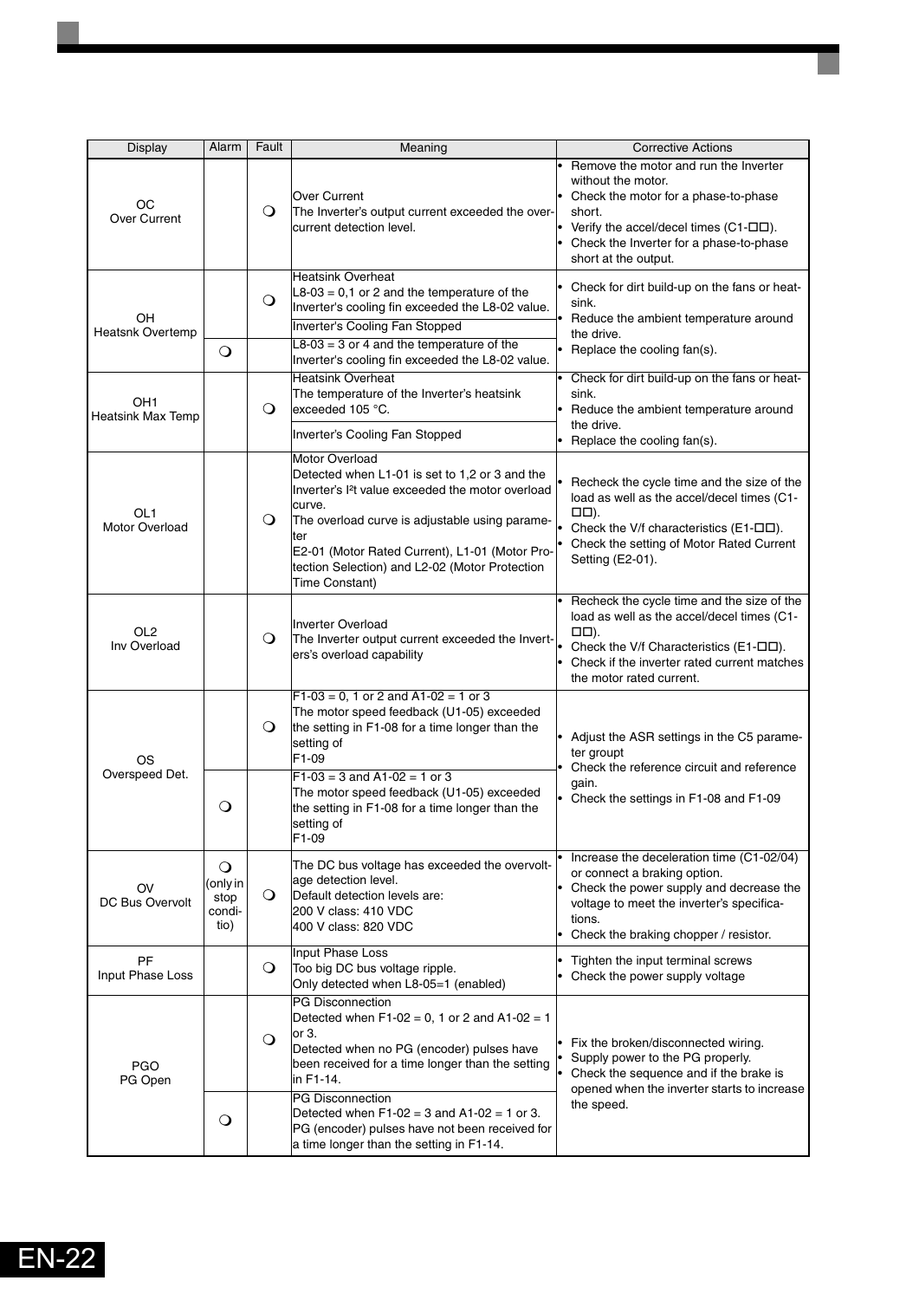| <b>Display</b>                           | Alarm                                              | Fault   | Meaning                                                                                                                                                                                                                                                                                                                           | <b>Corrective Actions</b>                                                                                                                                                                                                                       |
|------------------------------------------|----------------------------------------------------|---------|-----------------------------------------------------------------------------------------------------------------------------------------------------------------------------------------------------------------------------------------------------------------------------------------------------------------------------------|-------------------------------------------------------------------------------------------------------------------------------------------------------------------------------------------------------------------------------------------------|
| OС<br>Over Current                       |                                                    | $\circ$ | Over Current<br>The Inverter's output current exceeded the over-<br>current detection level.                                                                                                                                                                                                                                      | Remove the motor and run the Inverter<br>without the motor.<br>• Check the motor for a phase-to-phase<br>short.<br>Verify the accel/decel times (C1- $\square\square$ ).<br>Check the Inverter for a phase-to-phase<br>short at the output.     |
| OH<br><b>Heatsnk Overtemp</b>            |                                                    | $\circ$ | <b>Heatsink Overheat</b><br>$L8-03 = 0,1$ or 2 and the temperature of the<br>Inverter's cooling fin exceeded the L8-02 value.<br>Inverter's Cooling Fan Stopped                                                                                                                                                                   | Check for dirt build-up on the fans or heat-<br>sink.<br>Reduce the ambient temperature around<br>the drive.                                                                                                                                    |
|                                          | $\circ$                                            |         | $L8-03 = 3$ or 4 and the temperature of the<br>Inverter's cooling fin exceeded the L8-02 value.                                                                                                                                                                                                                                   | • Replace the cooling fan(s).                                                                                                                                                                                                                   |
| OH <sub>1</sub><br>Heatsink Max Temp     |                                                    | O       | <b>Heatsink Overheat</b><br>The temperature of the Inverter's heatsink<br>exceeded 105 °C.<br>Inverter's Cooling Fan Stopped                                                                                                                                                                                                      | Check for dirt build-up on the fans or heat-<br>sink.<br>• Reduce the ambient temperature around<br>the drive.                                                                                                                                  |
| OL <sub>1</sub><br><b>Motor Overload</b> |                                                    | $\circ$ | <b>Motor Overload</b><br>Detected when L1-01 is set to 1.2 or 3 and the<br>Inverter's I <sup>2</sup> t value exceeded the motor overload<br>curve.<br>The overload curve is adjustable using parame-<br>ter<br>E2-01 (Motor Rated Current), L1-01 (Motor Pro-<br>tection Selection) and L2-02 (Motor Protection<br>Time Constant) | • Replace the cooling fan(s).<br>Recheck the cycle time and the size of the<br>load as well as the accel/decel times (C1-<br>$\Box$ .<br>Check the V/f characteristics (E1-DD).<br>Check the setting of Motor Rated Current<br>Setting (E2-01). |
| OL <sub>2</sub><br>Inv Overload          |                                                    | $\circ$ | <b>Inverter Overload</b><br>The Inverter output current exceeded the Invert-<br>ers's overload capability                                                                                                                                                                                                                         | Recheck the cycle time and the size of the<br>load as well as the accel/decel times (C1-<br>□□).<br>Check the V/f Characteristics (E1-OD).<br>Check if the inverter rated current matches<br>the motor rated current.                           |
| OS<br>Overspeed Det.                     |                                                    | $\circ$ | $F1-03 = 0$ , 1 or 2 and A1-02 = 1 or 3<br>The motor speed feedback (U1-05) exceeded<br>the setting in F1-08 for a time longer than the<br>setting of<br>F1-09<br>$F1-03 = 3$ and A1-02 = 1 or 3<br>The motor speed feedback (U1-05) exceeded                                                                                     | • Adjust the ASR settings in the C5 parame-<br>ter groupt<br>Check the reference circuit and reference<br>gain.<br>Check the settings in F1-08 and F1-09                                                                                        |
| OV<br>DC Bus Overvolt                    | O<br>$\circ$<br>(only in<br>stop<br>condi-<br>tio) | $\circ$ | the setting in F1-08 for a time longer than the<br>setting of<br>F1-09<br>The DC bus voltage has exceeded the overvolt-<br>age detection level.<br>Default detection levels are:<br>200 V class: 410 VDC<br>400 V class: 820 VDC                                                                                                  | Increase the deceleration time (C1-02/04)<br>or connect a braking option.<br>• Check the power supply and decrease the<br>voltage to meet the inverter's specifica-<br>tions.<br>• Check the braking chopper / resistor.                        |
| PF<br>Input Phase Loss                   |                                                    | $\circ$ | Input Phase Loss<br>Too big DC bus voltage ripple.<br>Only detected when L8-05=1 (enabled)                                                                                                                                                                                                                                        | Tighten the input terminal screws<br>Check the power supply voltage                                                                                                                                                                             |
| <b>PGO</b><br>PG Open                    |                                                    | $\circ$ | <b>PG Disconnection</b><br>Detected when $F1-02 = 0$ , 1 or 2 and A1-02 = 1<br>or 3.<br>Detected when no PG (encoder) pulses have<br>been received for a time longer than the setting<br>in F1-14.                                                                                                                                | • Fix the broken/disconnected wiring.<br>Supply power to the PG properly.<br>$\bullet$<br>Check the sequence and if the brake is<br>opened when the inverter starts to increase                                                                 |
|                                          | $\mathsf{O}$                                       |         | <b>PG Disconnection</b><br>Detected when $F1-02 = 3$ and $A1-02 = 1$ or 3.<br>PG (encoder) pulses have not been received for<br>a time longer than the setting in F1-14.                                                                                                                                                          | the speed.                                                                                                                                                                                                                                      |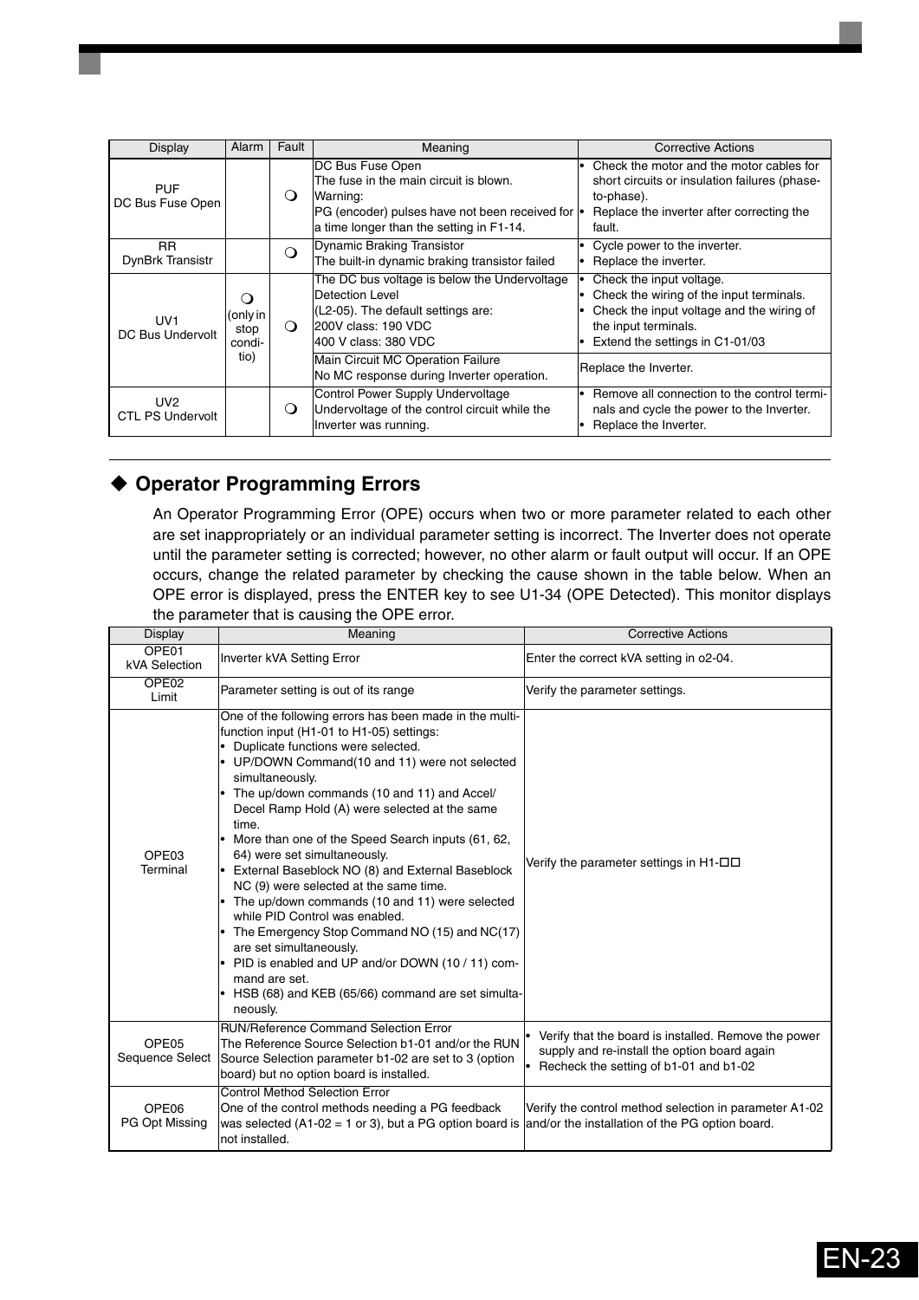| Display                                    | Alarm                                     | Fault    | Meaning                                                                                                                                                                                   | <b>Corrective Actions</b>                                                                                                                                                                               |
|--------------------------------------------|-------------------------------------------|----------|-------------------------------------------------------------------------------------------------------------------------------------------------------------------------------------------|---------------------------------------------------------------------------------------------------------------------------------------------------------------------------------------------------------|
| <b>PUF</b><br>DC Bus Fuse Open             |                                           | O        | DC Bus Fuse Open<br>The fuse in the main circuit is blown.<br>Warning:<br>PG (encoder) pulses have not been received for $\cdot$<br>a time longer than the setting in F1-14.              | • Check the motor and the motor cables for<br>short circuits or insulation failures (phase-<br>to-phase).<br>Replace the inverter after correcting the<br>fault.                                        |
| <b>RR</b><br>DynBrk Transistr              |                                           | ∩        | Dynamic Braking Transistor<br>The built-in dynamic braking transistor failed                                                                                                              | Cycle power to the inverter.<br>Replace the inverter.                                                                                                                                                   |
| UV <sub>1</sub><br>DC Bus Undervolt        | ⊖ )<br>(only in<br>stop<br>condi-<br>tio) | $\Omega$ | The DC bus voltage is below the Undervoltage<br>Detection Level<br>(L2-05). The default settings are:<br>200V class: 190 VDC<br>400 V class: 380 VDC<br>Main Circuit MC Operation Failure | Check the input voltage.<br>• Check the wiring of the input terminals.<br>Check the input voltage and the wiring of<br>the input terminals.<br>Extend the settings in C1-01/03<br>Replace the Inverter. |
| UV <sub>2</sub><br><b>CTL PS Undervolt</b> |                                           | O        | No MC response during Inverter operation.<br>Control Power Supply Undervoltage<br>Undervoltage of the control circuit while the<br>Inverter was running.                                  | Remove all connection to the control termi-<br>nals and cycle the power to the Inverter.<br>Replace the Inverter.                                                                                       |

### <span id="page-23-0"></span>**Operator Programming Errors**

An Operator Programming Error (OPE) occurs when two or more parameter related to each other are set inappropriately or an individual parameter setting is incorrect. The Inverter does not operate until the parameter setting is corrected; however, no other alarm or fault output will occur. If an OPE occurs, change the related parameter by checking the cause shown in the table below. When an OPE error is displayed, press the ENTER key to see U1-34 (OPE Detected). This monitor displays the parameter that is causing the OPE error.

| <b>Display</b>                       | Meaning                                                                                                                                                                                                                                                                                                                                                                                                                                                                                                                                                                                                                                                                                                                                                                                                       | <b>Corrective Actions</b>                                                                                                                      |
|--------------------------------------|---------------------------------------------------------------------------------------------------------------------------------------------------------------------------------------------------------------------------------------------------------------------------------------------------------------------------------------------------------------------------------------------------------------------------------------------------------------------------------------------------------------------------------------------------------------------------------------------------------------------------------------------------------------------------------------------------------------------------------------------------------------------------------------------------------------|------------------------------------------------------------------------------------------------------------------------------------------------|
| OPE01<br>kVA Selection               | Inverter kVA Setting Error                                                                                                                                                                                                                                                                                                                                                                                                                                                                                                                                                                                                                                                                                                                                                                                    | Enter the correct kVA setting in o2-04.                                                                                                        |
| OPE <sub>02</sub><br>Limit           | Parameter setting is out of its range                                                                                                                                                                                                                                                                                                                                                                                                                                                                                                                                                                                                                                                                                                                                                                         | Verify the parameter settings.                                                                                                                 |
| OPE <sub>03</sub><br>Terminal        | One of the following errors has been made in the multi-<br>function input (H1-01 to H1-05) settings:<br>Duplicate functions were selected.<br>UP/DOWN Command(10 and 11) were not selected<br>simultaneously.<br>The up/down commands (10 and 11) and Accel/<br>Decel Ramp Hold (A) were selected at the same<br>time.<br>More than one of the Speed Search inputs (61, 62,<br>64) were set simultaneously.<br>External Baseblock NO (8) and External Baseblock<br>NC (9) were selected at the same time.<br>The up/down commands (10 and 11) were selected<br>while PID Control was enabled.<br>The Emergency Stop Command NO (15) and NC(17)<br>are set simultaneously.<br>PID is enabled and UP and/or DOWN (10/11) com-<br>mand are set.<br>HSB (68) and KEB (65/66) command are set simulta-<br>neously. | Verify the parameter settings in $H1-\Box$                                                                                                     |
| OPE <sub>05</sub><br>Sequence Select | <b>RUN/Reference Command Selection Error</b><br>The Reference Source Selection b1-01 and/or the RUN<br>Source Selection parameter b1-02 are set to 3 (option<br>board) but no option board is installed.                                                                                                                                                                                                                                                                                                                                                                                                                                                                                                                                                                                                      | Verify that the board is installed. Remove the power<br>supply and re-install the option board again<br>Recheck the setting of b1-01 and b1-02 |
| OPE <sub>06</sub><br>PG Opt Missing  | <b>Control Method Selection Error</b><br>One of the control methods needing a PG feedback<br>was selected $(A1-02 = 1$ or 3), but a PG option board is<br>not installed.                                                                                                                                                                                                                                                                                                                                                                                                                                                                                                                                                                                                                                      | Verify the control method selection in parameter A1-02<br>and/or the installation of the PG option board.                                      |